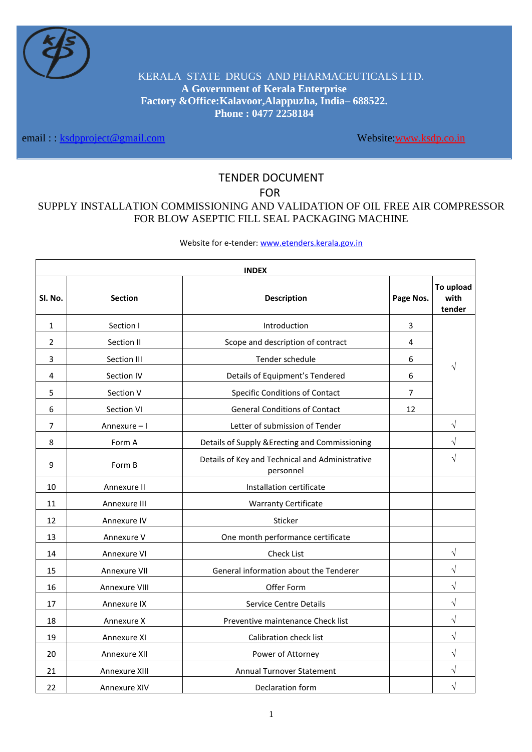

KERALA STATE DRUGS AND PHARMACEUTICALS LTD. **A Government of Kerala Enterprise Factory &Office:Kalavoor,Alappuzha, India– 688522. Phone : 0477 2258184**

email : : [ksdpproject@gmail.com](mailto:ksdpproject@gmail.com) Website[:www.ksdp.co.in](http://www.ksdp.co.in/)

# TENDER DOCUMENT

FOR

# SUPPLY INSTALLATION COMMISSIONING AND VALIDATION OF OIL FREE AIR COMPRESSOR FOR BLOW ASEPTIC FILL SEAL PACKAGING MACHINE

Website for e-tender[: www.etenders.kerala.gov.in](http://www.etenders.kerala.gov.in/)

| <b>INDEX</b>   |                |                                                              |                         |                             |
|----------------|----------------|--------------------------------------------------------------|-------------------------|-----------------------------|
| Sl. No.        | <b>Section</b> | <b>Description</b>                                           | Page Nos.               | To upload<br>with<br>tender |
| 1              | Section I      | Introduction                                                 | 3                       |                             |
| $\overline{2}$ | Section II     | Scope and description of contract                            | $\overline{\mathbf{4}}$ |                             |
| 3              | Section III    | Tender schedule                                              | 6                       |                             |
| 4              | Section IV     | Details of Equipment's Tendered                              | 6                       |                             |
| 5              | Section V      | Specific Conditions of Contact                               | $\overline{7}$          |                             |
| 6              | Section VI     | <b>General Conditions of Contact</b>                         | 12                      |                             |
| 7              | Annexure-I     | Letter of submission of Tender                               |                         | V                           |
| 8              | Form A         | Details of Supply & Erecting and Commissioning               |                         | $\sqrt{}$                   |
| 9              | Form B         | Details of Key and Technical and Administrative<br>personnel |                         | $\sqrt{}$                   |
| 10             | Annexure II    | Installation certificate                                     |                         |                             |
| 11             | Annexure III   | <b>Warranty Certificate</b>                                  |                         |                             |
| 12             | Annexure IV    | Sticker                                                      |                         |                             |
| 13             | Annexure V     | One month performance certificate                            |                         |                             |
| 14             | Annexure VI    | <b>Check List</b>                                            |                         | V                           |
| 15             | Annexure VII   | General information about the Tenderer                       |                         | $\sqrt{}$                   |
| 16             | Annexure VIII  | Offer Form                                                   |                         | $\sqrt{}$                   |
| 17             | Annexure IX    | <b>Service Centre Details</b>                                |                         | $\sqrt{}$                   |
| 18             | Annexure X     | Preventive maintenance Check list                            |                         | $\sqrt{}$                   |
| 19             | Annexure XI    | Calibration check list                                       |                         | $\sqrt{}$                   |
| 20             | Annexure XII   | Power of Attorney                                            |                         | $\sqrt{}$                   |
| 21             | Annexure XIII  | Annual Turnover Statement                                    |                         | $\sqrt{}$                   |
| 22             | Annexure XIV   | Declaration form                                             |                         |                             |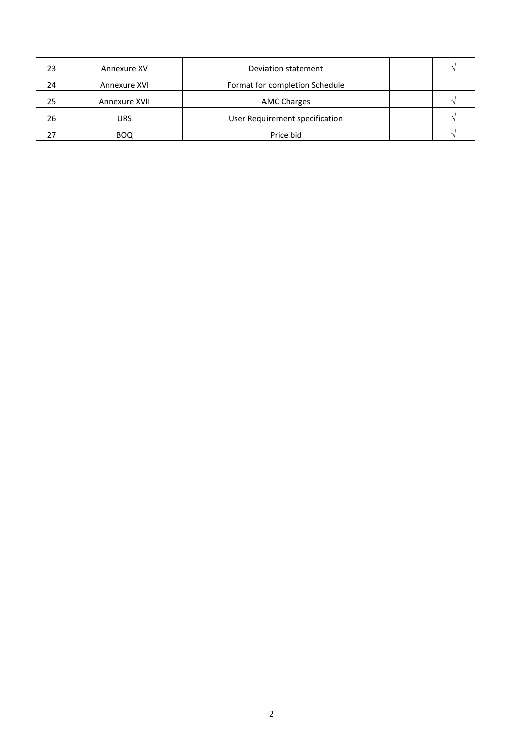| 23 | Annexure XV   | Deviation statement            |  |
|----|---------------|--------------------------------|--|
| 24 | Annexure XVI  | Format for completion Schedule |  |
| 25 | Annexure XVII | <b>AMC Charges</b>             |  |
| 26 | URS           | User Requirement specification |  |
|    | <b>BOQ</b>    | Price bid                      |  |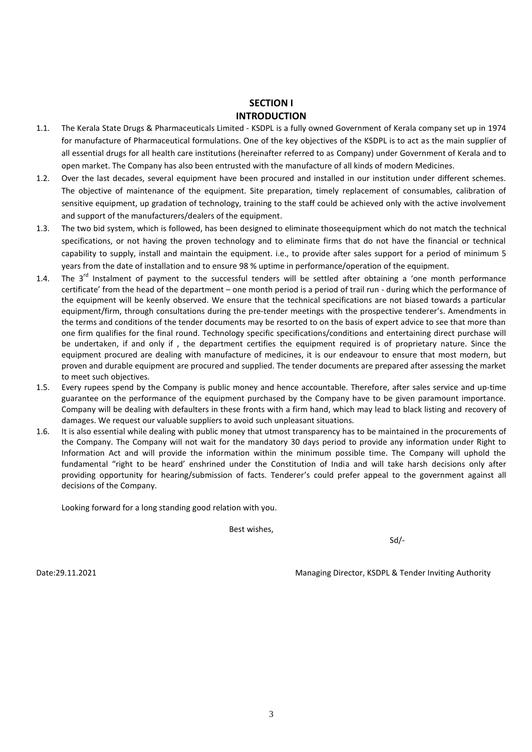# **SECTION I INTRODUCTION**

- 1.1. The Kerala State Drugs & Pharmaceuticals Limited KSDPL is a fully owned Government of Kerala company set up in 1974 for manufacture of Pharmaceutical formulations. One of the key objectives of the KSDPL is to act as the main supplier of all essential drugs for all health care institutions (hereinafter referred to as Company) under Government of Kerala and to open market. The Company has also been entrusted with the manufacture of all kinds of modern Medicines.
- 1.2. Over the last decades, several equipment have been procured and installed in our institution under different schemes. The objective of maintenance of the equipment. Site preparation, timely replacement of consumables, calibration of sensitive equipment, up gradation of technology, training to the staff could be achieved only with the active involvement and support of the manufacturers/dealers of the equipment.
- 1.3. The two bid system, which is followed, has been designed to eliminate thoseequipment which do not match the technical specifications, or not having the proven technology and to eliminate firms that do not have the financial or technical capability to supply, install and maintain the equipment. i.e., to provide after sales support for a period of minimum 5 years from the date of installation and to ensure 98 % uptime in performance/operation of the equipment.
- 1.4. The  $3^{rd}$  Instalment of payment to the successful tenders will be settled after obtaining a 'one month performance certificate' from the head of the department – one month period is a period of trail run - during which the performance of the equipment will be keenly observed. We ensure that the technical specifications are not biased towards a particular equipment/firm, through consultations during the pre-tender meetings with the prospective tenderer's. Amendments in the terms and conditions of the tender documents may be resorted to on the basis of expert advice to see that more than one firm qualifies for the final round. Technology specific specifications/conditions and entertaining direct purchase will be undertaken, if and only if , the department certifies the equipment required is of proprietary nature. Since the equipment procured are dealing with manufacture of medicines, it is our endeavour to ensure that most modern, but proven and durable equipment are procured and supplied. The tender documents are prepared after assessing the market to meet such objectives.
- 1.5. Every rupees spend by the Company is public money and hence accountable. Therefore, after sales service and up-time guarantee on the performance of the equipment purchased by the Company have to be given paramount importance. Company will be dealing with defaulters in these fronts with a firm hand, which may lead to black listing and recovery of damages. We request our valuable suppliers to avoid such unpleasant situations.
- 1.6. It is also essential while dealing with public money that utmost transparency has to be maintained in the procurements of the Company. The Company will not wait for the mandatory 30 days period to provide any information under Right to Information Act and will provide the information within the minimum possible time. The Company will uphold the fundamental "right to be heard' enshrined under the Constitution of India and will take harsh decisions only after providing opportunity for hearing/submission of facts. Tenderer's could prefer appeal to the government against all decisions of the Company.

Looking forward for a long standing good relation with you.

Best wishes,

Sd/-

Date:29.11.2021 Managing Director, KSDPL & Tender Inviting Authority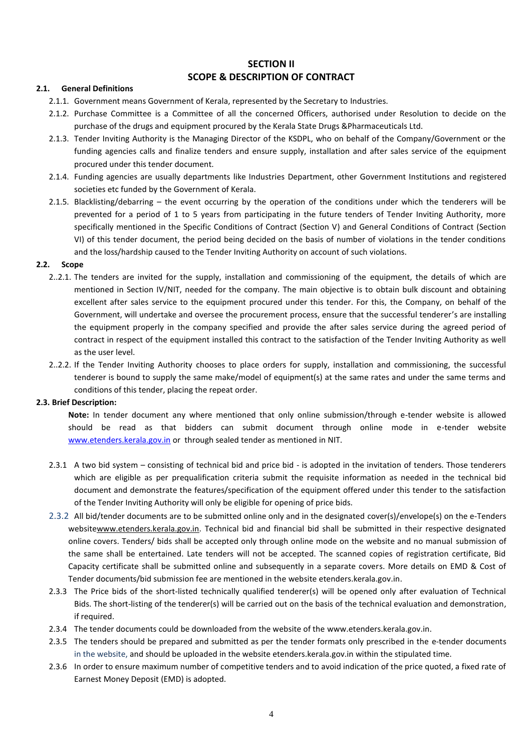# **SECTION II SCOPE & DESCRIPTION OF CONTRACT**

## **2.1. General Definitions**

- 2.1.1. Government means Government of Kerala, represented by the Secretary to Industries.
- 2.1.2. Purchase Committee is a Committee of all the concerned Officers, authorised under Resolution to decide on the purchase of the drugs and equipment procured by the Kerala State Drugs &Pharmaceuticals Ltd.
- 2.1.3. Tender Inviting Authority is the Managing Director of the KSDPL, who on behalf of the Company/Government or the funding agencies calls and finalize tenders and ensure supply, installation and after sales service of the equipment procured under this tender document.
- 2.1.4. Funding agencies are usually departments like Industries Department, other Government Institutions and registered societies etc funded by the Government of Kerala.
- 2.1.5. Blacklisting/debarring the event occurring by the operation of the conditions under which the tenderers will be prevented for a period of 1 to 5 years from participating in the future tenders of Tender Inviting Authority, more specifically mentioned in the Specific Conditions of Contract (Section V) and General Conditions of Contract (Section VI) of this tender document, the period being decided on the basis of number of violations in the tender conditions and the loss/hardship caused to the Tender Inviting Authority on account of such violations.

## **2.2. Scope**

- 2..2.1. The tenders are invited for the supply, installation and commissioning of the equipment, the details of which are mentioned in Section IV/NIT, needed for the company. The main objective is to obtain bulk discount and obtaining excellent after sales service to the equipment procured under this tender. For this, the Company, on behalf of the Government, will undertake and oversee the procurement process, ensure that the successful tenderer's are installing the equipment properly in the company specified and provide the after sales service during the agreed period of contract in respect of the equipment installed this contract to the satisfaction of the Tender Inviting Authority as well as the user level.
- 2..2.2. If the Tender Inviting Authority chooses to place orders for supply, installation and commissioning, the successful tenderer is bound to supply the same make/model of equipment(s) at the same rates and under the same terms and conditions of this tender, placing the repeat order.

#### **2.3. Brief Description:**

**Note:** In tender document any where mentioned that only online submission/through e-tender website is allowed should be read as that bidders can submit document through online mode in e-tender website [www.etenders.kerala.gov.in](http://www.etenders.kerala.gov.in/) or through sealed tender as mentioned in NIT.

- 2.3.1 A two bid system consisting of technical bid and price bid is adopted in the invitation of tenders. Those tenderers which are eligible as per prequalification criteria submit the requisite information as needed in the technical bid document and demonstrate the features/specification of the equipment offered under this tender to the satisfaction of the Tender Inviting Authority will only be eligible for opening of price bids.
- 2.3.2 All bid/tender documents are to be submitted online only and in the designated cover(s)/envelope(s) on the e-Tenders websitewww.etenders.kerala.gov.in. Technical bid and financial bid shall be submitted in their respective designated online covers. Tenders/ bids shall be accepted only through online mode on the website and no manual submission of the same shall be entertained. Late tenders will not be accepted. The scanned copies of registration certificate, Bid Capacity certificate shall be submitted online and subsequently in a separate covers. More details on EMD & Cost of Tender documents/bid submission fee are mentioned in the website etenders.kerala.gov.in.
- 2.3.3 The Price bids of the short-listed technically qualified tenderer(s) will be opened only after evaluation of Technical Bids. The short-listing of the tenderer(s) will be carried out on the basis of the technical evaluation and demonstration, if required.
- 2.3.4 The tender documents could be downloaded from the website of the www.etenders.kerala.gov.in.
- 2.3.5 The tenders should be prepared and submitted as per the tender formats only prescribed in the e-tender documents in the website, and should be uploaded in the website etenders.kerala.gov.in within the stipulated time.
- 2.3.6 In order to ensure maximum number of competitive tenders and to avoid indication of the price quoted, a fixed rate of Earnest Money Deposit (EMD) is adopted.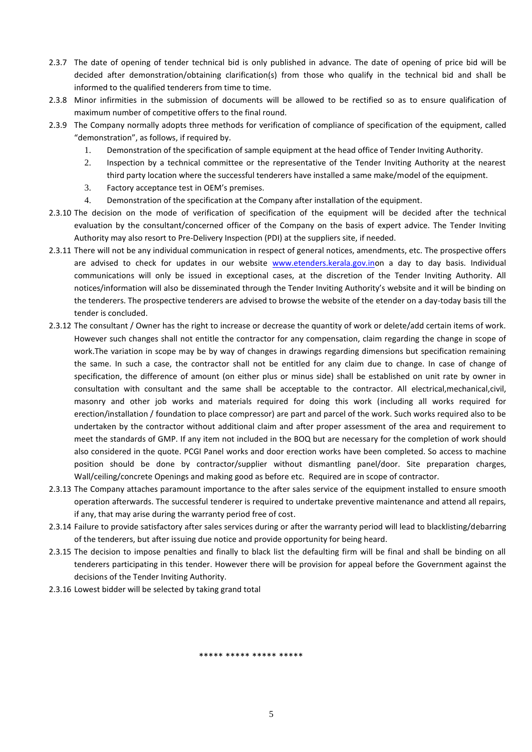- 2.3.7 The date of opening of tender technical bid is only published in advance. The date of opening of price bid will be decided after demonstration/obtaining clarification(s) from those who qualify in the technical bid and shall be informed to the qualified tenderers from time to time.
- 2.3.8 Minor infirmities in the submission of documents will be allowed to be rectified so as to ensure qualification of maximum number of competitive offers to the final round.
- 2.3.9 The Company normally adopts three methods for verification of compliance of specification of the equipment, called "demonstration", as follows, if required by.
	- 1. Demonstration of the specification of sample equipment at the head office of Tender Inviting Authority.
	- 2. Inspection by a technical committee or the representative of the Tender Inviting Authority at the nearest third party location where the successful tenderers have installed a same make/model of the equipment.
	- 3. Factory acceptance test in OEM's premises.
	- 4. Demonstration of the specification at the Company after installation of the equipment.
- 2.3.10 The decision on the mode of verification of specification of the equipment will be decided after the technical evaluation by the consultant/concerned officer of the Company on the basis of expert advice. The Tender Inviting Authority may also resort to Pre-Delivery Inspection (PDI) at the suppliers site, if needed.
- 2.3.11 There will not be any individual communication in respect of general notices, amendments, etc. The prospective offers are advised to check for updates in our website [www.etenders.kerala.gov.ino](http://www.etenders.kerala.gov.in/)n a day to day basis. Individual communications will only be issued in exceptional cases, at the discretion of the Tender Inviting Authority. All notices/information will also be disseminated through the Tender Inviting Authority's website and it will be binding on the tenderers. The prospective tenderers are advised to browse the website of the etender on a day-today basis till the tender is concluded.
- 2.3.12 The consultant / Owner has the right to increase or decrease the quantity of work or delete/add certain items of work. However such changes shall not entitle the contractor for any compensation, claim regarding the change in scope of work.The variation in scope may be by way of changes in drawings regarding dimensions but specification remaining the same. In such a case, the contractor shall not be entitled for any claim due to change. In case of change of specification, the difference of amount (on either plus or minus side) shall be established on unit rate by owner in consultation with consultant and the same shall be acceptable to the contractor. All electrical,mechanical,civil, masonry and other job works and materials required for doing this work (including all works required for erection/installation / foundation to place compressor) are part and parcel of the work. Such works required also to be undertaken by the contractor without additional claim and after proper assessment of the area and requirement to meet the standards of GMP. If any item not included in the BOQ but are necessary for the completion of work should also considered in the quote. PCGI Panel works and door erection works have been completed. So access to machine position should be done by contractor/supplier without dismantling panel/door. Site preparation charges, Wall/ceiling/concrete Openings and making good as before etc. Required are in scope of contractor.
- 2.3.13 The Company attaches paramount importance to the after sales service of the equipment installed to ensure smooth operation afterwards. The successful tenderer is required to undertake preventive maintenance and attend all repairs, if any, that may arise during the warranty period free of cost.
- 2.3.14 Failure to provide satisfactory after sales services during or after the warranty period will lead to blacklisting/debarring of the tenderers, but after issuing due notice and provide opportunity for being heard.
- 2.3.15 The decision to impose penalties and finally to black list the defaulting firm will be final and shall be binding on all tenderers participating in this tender. However there will be provision for appeal before the Government against the decisions of the Tender Inviting Authority.
- 2.3.16 Lowest bidder will be selected by taking grand total

\*\*\*\*\* \*\*\*\*\* \*\*\*\*\* \*\*\*\*\*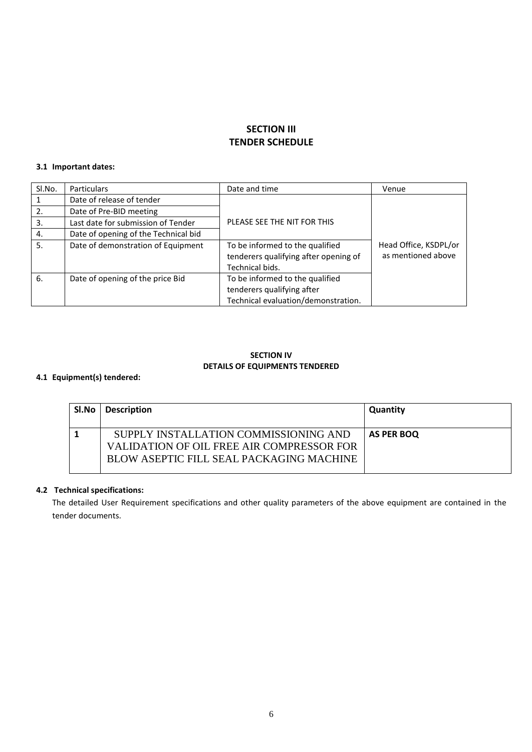# **SECTION III TENDER SCHEDULE**

## **3.1 Important dates:**

| Sl.No. | <b>Particulars</b>                   | Date and time                         | Venue                 |
|--------|--------------------------------------|---------------------------------------|-----------------------|
|        | Date of release of tender            |                                       |                       |
| 2.     | Date of Pre-BID meeting              |                                       |                       |
| 3.     | Last date for submission of Tender   | PLEASE SEE THE NIT FOR THIS           |                       |
| 4.     | Date of opening of the Technical bid |                                       |                       |
| 5.     | Date of demonstration of Equipment   | To be informed to the qualified       | Head Office, KSDPL/or |
|        |                                      | tenderers qualifying after opening of | as mentioned above    |
|        |                                      | Technical bids.                       |                       |
| 6.     | Date of opening of the price Bid     | To be informed to the qualified       |                       |
|        |                                      | tenderers qualifying after            |                       |
|        |                                      | Technical evaluation/demonstration.   |                       |

# **SECTION IV DETAILS OF EQUIPMENTS TENDERED**

# **4.1 Equipment(s) tendered:**

| Sl.No | <b>Description</b>                                                                                                             | <b>Quantity</b> |
|-------|--------------------------------------------------------------------------------------------------------------------------------|-----------------|
|       | SUPPLY INSTALLATION COMMISSIONING AND<br>VALIDATION OF OIL FREE AIR COMPRESSOR FOR<br>BLOW ASEPTIC FILL SEAL PACKAGING MACHINE | AS PER BOO      |

# **4.2 Technical specifications:**

The detailed User Requirement specifications and other quality parameters of the above equipment are contained in the tender documents.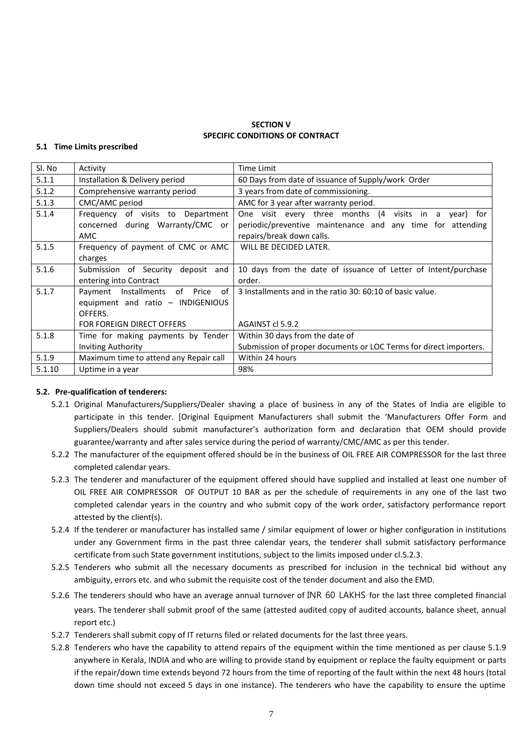## **SECTION V SPECIFIC CONDITIONS OF CONTRACT**

#### **5.1 Time Limits prescribed**

| SI. No | Activity                                                                         | Time Limit                                                                                                                                             |
|--------|----------------------------------------------------------------------------------|--------------------------------------------------------------------------------------------------------------------------------------------------------|
| 5.1.1  | Installation & Delivery period                                                   | 60 Days from date of issuance of Supply/work Order                                                                                                     |
| 5.1.2  | Comprehensive warranty period                                                    | 3 years from date of commissioning.                                                                                                                    |
| 5.1.3  | CMC/AMC period                                                                   | AMC for 3 year after warranty period.                                                                                                                  |
| 5.1.4  | Frequency of visits to Department<br>concerned during Warranty/CMC or<br>AMC     | One visit every three months (4 visits in a<br>for<br>vear)<br>periodic/preventive maintenance and any time for attending<br>repairs/break down calls. |
| 5.1.5  | Frequency of payment of CMC or AMC<br>charges                                    | WILL BE DECIDED LATER.                                                                                                                                 |
| 5.1.6  | Submission of Security deposit and<br>entering into Contract                     | 10 days from the date of issuance of Letter of Intent/purchase<br>order.                                                                               |
| 5.1.7  | Payment Installments of Price of<br>equipment and ratio - INDIGENIOUS<br>OFFERS. | 3 Installments and in the ratio 30: 60:10 of basic value.                                                                                              |
|        | FOR FOREIGN DIRECT OFFERS                                                        | AGAINST cl 5.9.2                                                                                                                                       |
| 5.1.8  | Time for making payments by Tender<br><b>Inviting Authority</b>                  | Within 30 days from the date of<br>Submission of proper documents or LOC Terms for direct importers.                                                   |
| 5.1.9  | Maximum time to attend any Repair call                                           | Within 24 hours                                                                                                                                        |
| 5.1.10 | Uptime in a year                                                                 | 98%                                                                                                                                                    |

## **5.2. Pre-qualification of tenderers:**

- 5.2.1 Original Manufacturers/Suppliers/Dealer shaving a place of business in any of the States of India are eligible to participate in this tender. [Original Equipment Manufacturers shall submit the 'Manufacturers Offer Form and Suppliers/Dealers should submit manufacturer's authorization form and declaration that OEM should provide guarantee/warranty and after sales service during the period of warranty/CMC/AMC as per this tender.
- 5.2.2 The manufacturer of the equipment offered should be in the business of OIL FREE AIR COMPRESSOR for the last three completed calendar years.
- 5.2.3 The tenderer and manufacturer of the equipment offered should have supplied and installed at least one number of OIL FREE AIR COMPRESSOR OF OUTPUT 10 BAR as per the schedule of requirements in any one of the last two completed calendar years in the country and who submit copy of the work order, satisfactory performance report attested by the client(s).
- 5.2.4 If the tenderer or manufacturer has installed same / similar equipment of lower or higher configuration in institutions under any Government firms in the past three calendar years, the tenderer shall submit satisfactory performance certificate from such State government institutions, subject to the limits imposed under cl.5.2.3.
- 5.2.5 Tenderers who submit all the necessary documents as prescribed for inclusion in the technical bid without any ambiguity, errors etc. and who submit the requisite cost of the tender document and also the EMD.
- 5.2.6 The tenderers should who have an average annual turnover of INR 60 LAKHS for the last three completed financial years. The tenderer shall submit proof of the same (attested audited copy of audited accounts, balance sheet, annual report etc.)
- 5.2.7 Tenderers shall submit copy of IT returns filed or related documents for the last three years.
- 5.2.8 Tenderers who have the capability to attend repairs of the equipment within the time mentioned as per clause 5.1.9 anywhere in Kerala, INDIA and who are willing to provide stand by equipment or replace the faulty equipment or parts if the repair/down time extends beyond 72 hours from the time of reporting of the fault within the next 48 hours (total down time should not exceed 5 days in one instance). The tenderers who have the capability to ensure the uptime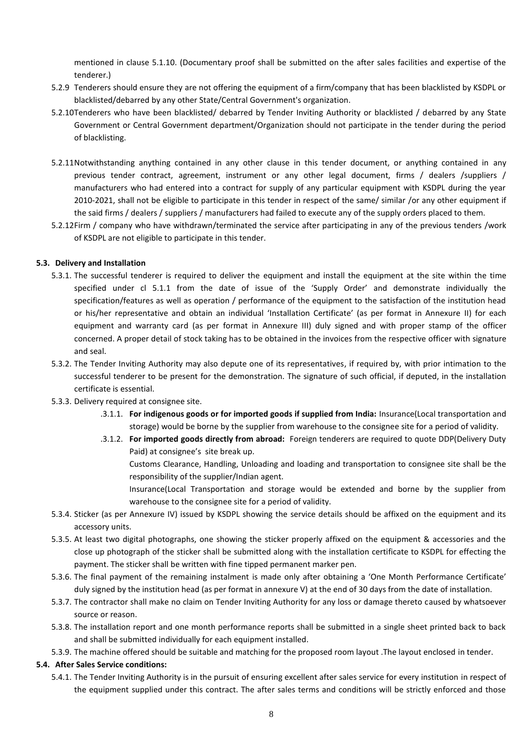mentioned in clause 5.1.10. (Documentary proof shall be submitted on the after sales facilities and expertise of the tenderer.)

- 5.2.9 Tenderers should ensure they are not offering the equipment of a firm/company that has been blacklisted by KSDPL or blacklisted/debarred by any other State/Central Government's organization.
- 5.2.10Tenderers who have been blacklisted/ debarred by Tender Inviting Authority or blacklisted / debarred by any State Government or Central Government department/Organization should not participate in the tender during the period of blacklisting.
- 5.2.11Notwithstanding anything contained in any other clause in this tender document, or anything contained in any previous tender contract, agreement, instrument or any other legal document, firms / dealers /suppliers / manufacturers who had entered into a contract for supply of any particular equipment with KSDPL during the year 2010-2021, shall not be eligible to participate in this tender in respect of the same/ similar /or any other equipment if the said firms / dealers / suppliers / manufacturers had failed to execute any of the supply orders placed to them.
- 5.2.12Firm / company who have withdrawn/terminated the service after participating in any of the previous tenders /work of KSDPL are not eligible to participate in this tender.

## **5.3. Delivery and Installation**

- 5.3.1. The successful tenderer is required to deliver the equipment and install the equipment at the site within the time specified under cl 5.1.1 from the date of issue of the 'Supply Order' and demonstrate individually the specification/features as well as operation / performance of the equipment to the satisfaction of the institution head or his/her representative and obtain an individual 'Installation Certificate' (as per format in Annexure II) for each equipment and warranty card (as per format in Annexure III) duly signed and with proper stamp of the officer concerned. A proper detail of stock taking has to be obtained in the invoices from the respective officer with signature and seal.
- 5.3.2. The Tender Inviting Authority may also depute one of its representatives, if required by, with prior intimation to the successful tenderer to be present for the demonstration. The signature of such official, if deputed, in the installation certificate is essential.
- 5.3.3. Delivery required at consignee site.
	- .3.1.1. **For indigenous goods or for imported goods if supplied from India:** Insurance(Local transportation and storage) would be borne by the supplier from warehouse to the consignee site for a period of validity.
	- .3.1.2. **For imported goods directly from abroad:** Foreign tenderers are required to quote DDP(Delivery Duty Paid) at consignee's site break up.

Customs Clearance, Handling, Unloading and loading and transportation to consignee site shall be the responsibility of the supplier/Indian agent.

- Insurance(Local Transportation and storage would be extended and borne by the supplier from warehouse to the consignee site for a period of validity.
- 5.3.4. Sticker (as per Annexure IV) issued by KSDPL showing the service details should be affixed on the equipment and its accessory units.
- 5.3.5. At least two digital photographs, one showing the sticker properly affixed on the equipment & accessories and the close up photograph of the sticker shall be submitted along with the installation certificate to KSDPL for effecting the payment. The sticker shall be written with fine tipped permanent marker pen.
- 5.3.6. The final payment of the remaining instalment is made only after obtaining a 'One Month Performance Certificate' duly signed by the institution head (as per format in annexure V) at the end of 30 days from the date of installation.
- 5.3.7. The contractor shall make no claim on Tender Inviting Authority for any loss or damage thereto caused by whatsoever source or reason.
- 5.3.8. The installation report and one month performance reports shall be submitted in a single sheet printed back to back and shall be submitted individually for each equipment installed.
- 5.3.9. The machine offered should be suitable and matching for the proposed room layout .The layout enclosed in tender.

## **5.4. After Sales Service conditions:**

5.4.1. The Tender Inviting Authority is in the pursuit of ensuring excellent after sales service for every institution in respect of the equipment supplied under this contract. The after sales terms and conditions will be strictly enforced and those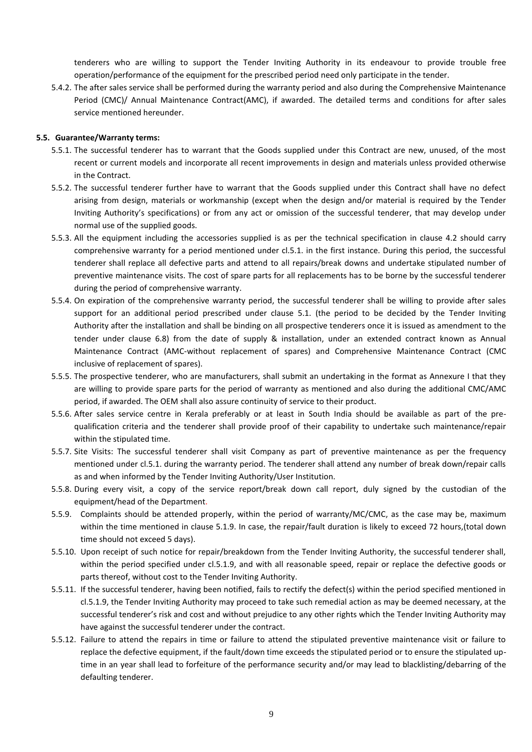tenderers who are willing to support the Tender Inviting Authority in its endeavour to provide trouble free operation/performance of the equipment for the prescribed period need only participate in the tender.

5.4.2. The after sales service shall be performed during the warranty period and also during the Comprehensive Maintenance Period (CMC)/ Annual Maintenance Contract(AMC), if awarded. The detailed terms and conditions for after sales service mentioned hereunder.

### **5.5. Guarantee/Warranty terms:**

- 5.5.1. The successful tenderer has to warrant that the Goods supplied under this Contract are new, unused, of the most recent or current models and incorporate all recent improvements in design and materials unless provided otherwise in the Contract.
- 5.5.2. The successful tenderer further have to warrant that the Goods supplied under this Contract shall have no defect arising from design, materials or workmanship (except when the design and/or material is required by the Tender Inviting Authority's specifications) or from any act or omission of the successful tenderer, that may develop under normal use of the supplied goods.
- 5.5.3. All the equipment including the accessories supplied is as per the technical specification in clause 4.2 should carry comprehensive warranty for a period mentioned under cl.5.1. in the first instance. During this period, the successful tenderer shall replace all defective parts and attend to all repairs/break downs and undertake stipulated number of preventive maintenance visits. The cost of spare parts for all replacements has to be borne by the successful tenderer during the period of comprehensive warranty.
- 5.5.4. On expiration of the comprehensive warranty period, the successful tenderer shall be willing to provide after sales support for an additional period prescribed under clause 5.1. (the period to be decided by the Tender Inviting Authority after the installation and shall be binding on all prospective tenderers once it is issued as amendment to the tender under clause 6.8) from the date of supply & installation, under an extended contract known as Annual Maintenance Contract (AMC-without replacement of spares) and Comprehensive Maintenance Contract (CMC inclusive of replacement of spares).
- 5.5.5. The prospective tenderer, who are manufacturers, shall submit an undertaking in the format as Annexure I that they are willing to provide spare parts for the period of warranty as mentioned and also during the additional CMC/AMC period, if awarded. The OEM shall also assure continuity of service to their product.
- 5.5.6. After sales service centre in Kerala preferably or at least in South India should be available as part of the prequalification criteria and the tenderer shall provide proof of their capability to undertake such maintenance/repair within the stipulated time.
- 5.5.7. Site Visits: The successful tenderer shall visit Company as part of preventive maintenance as per the frequency mentioned under cl.5.1. during the warranty period. The tenderer shall attend any number of break down/repair calls as and when informed by the Tender Inviting Authority/User Institution.
- 5.5.8. During every visit, a copy of the service report/break down call report, duly signed by the custodian of the equipment/head of the Department.
- 5.5.9. Complaints should be attended properly, within the period of warranty/MC/CMC, as the case may be, maximum within the time mentioned in clause 5.1.9. In case, the repair/fault duration is likely to exceed 72 hours,(total down time should not exceed 5 days).
- 5.5.10. Upon receipt of such notice for repair/breakdown from the Tender Inviting Authority, the successful tenderer shall, within the period specified under cl.5.1.9, and with all reasonable speed, repair or replace the defective goods or parts thereof, without cost to the Tender Inviting Authority.
- 5.5.11. If the successful tenderer, having been notified, fails to rectify the defect(s) within the period specified mentioned in cl.5.1.9, the Tender Inviting Authority may proceed to take such remedial action as may be deemed necessary, at the successful tenderer's risk and cost and without prejudice to any other rights which the Tender Inviting Authority may have against the successful tenderer under the contract.
- 5.5.12. Failure to attend the repairs in time or failure to attend the stipulated preventive maintenance visit or failure to replace the defective equipment, if the fault/down time exceeds the stipulated period or to ensure the stipulated uptime in an year shall lead to forfeiture of the performance security and/or may lead to blacklisting/debarring of the defaulting tenderer.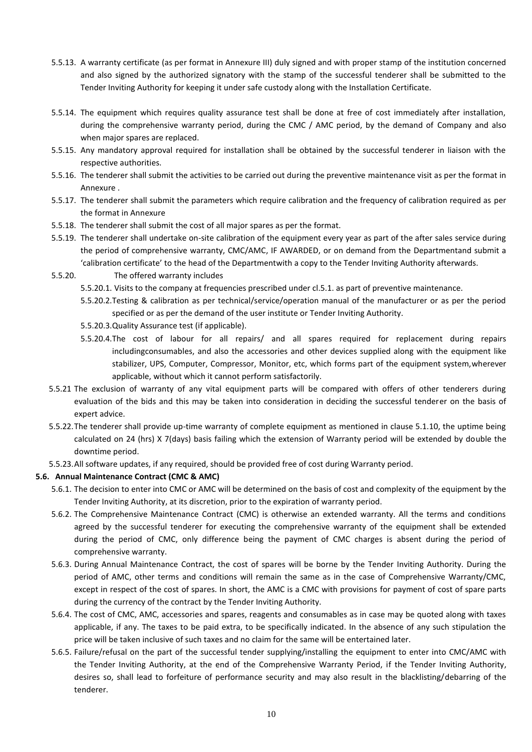- 5.5.13. A warranty certificate (as per format in Annexure III) duly signed and with proper stamp of the institution concerned and also signed by the authorized signatory with the stamp of the successful tenderer shall be submitted to the Tender Inviting Authority for keeping it under safe custody along with the Installation Certificate.
- 5.5.14. The equipment which requires quality assurance test shall be done at free of cost immediately after installation, during the comprehensive warranty period, during the CMC / AMC period, by the demand of Company and also when major spares are replaced.
- 5.5.15. Any mandatory approval required for installation shall be obtained by the successful tenderer in liaison with the respective authorities.
- 5.5.16. The tenderer shall submit the activities to be carried out during the preventive maintenance visit as per the format in Annexure .
- 5.5.17. The tenderer shall submit the parameters which require calibration and the frequency of calibration required as per the format in Annexure
- 5.5.18. The tenderer shall submit the cost of all major spares as per the format.
- 5.5.19. The tenderer shall undertake on-site calibration of the equipment every year as part of the after sales service during the period of comprehensive warranty, CMC/AMC, IF AWARDED, or on demand from the Departmentand submit a 'calibration certificate' to the head of the Departmentwith a copy to the Tender Inviting Authority afterwards.
- 5.5.20. The offered warranty includes
	- 5.5.20.1. Visits to the company at frequencies prescribed under cl.5.1. as part of preventive maintenance.
	- 5.5.20.2.Testing & calibration as per technical/service/operation manual of the manufacturer or as per the period specified or as per the demand of the user institute or Tender Inviting Authority.
	- 5.5.20.3.Quality Assurance test (if applicable).
	- 5.5.20.4.The cost of labour for all repairs/ and all spares required for replacement during repairs includingconsumables, and also the accessories and other devices supplied along with the equipment like stabilizer, UPS, Computer, Compressor, Monitor, etc, which forms part of the equipment system,wherever applicable, without which it cannot perform satisfactorily.
- 5.5.21 The exclusion of warranty of any vital equipment parts will be compared with offers of other tenderers during evaluation of the bids and this may be taken into consideration in deciding the successful tenderer on the basis of expert advice.
- 5.5.22.The tenderer shall provide up-time warranty of complete equipment as mentioned in clause 5.1.10, the uptime being calculated on 24 (hrs) X 7(days) basis failing which the extension of Warranty period will be extended by double the downtime period.
- 5.5.23.All software updates, if any required, should be provided free of cost during Warranty period.

## **5.6. Annual Maintenance Contract (CMC & AMC)**

- 5.6.1. The decision to enter into CMC or AMC will be determined on the basis of cost and complexity of the equipment by the Tender Inviting Authority, at its discretion, prior to the expiration of warranty period.
- 5.6.2. The Comprehensive Maintenance Contract (CMC) is otherwise an extended warranty. All the terms and conditions agreed by the successful tenderer for executing the comprehensive warranty of the equipment shall be extended during the period of CMC, only difference being the payment of CMC charges is absent during the period of comprehensive warranty.
- 5.6.3. During Annual Maintenance Contract, the cost of spares will be borne by the Tender Inviting Authority. During the period of AMC, other terms and conditions will remain the same as in the case of Comprehensive Warranty/CMC, except in respect of the cost of spares. In short, the AMC is a CMC with provisions for payment of cost of spare parts during the currency of the contract by the Tender Inviting Authority.
- 5.6.4. The cost of CMC, AMC, accessories and spares, reagents and consumables as in case may be quoted along with taxes applicable, if any. The taxes to be paid extra, to be specifically indicated. In the absence of any such stipulation the price will be taken inclusive of such taxes and no claim for the same will be entertained later.
- 5.6.5. Failure/refusal on the part of the successful tender supplying/installing the equipment to enter into CMC/AMC with the Tender Inviting Authority, at the end of the Comprehensive Warranty Period, if the Tender Inviting Authority, desires so, shall lead to forfeiture of performance security and may also result in the blacklisting/debarring of the tenderer.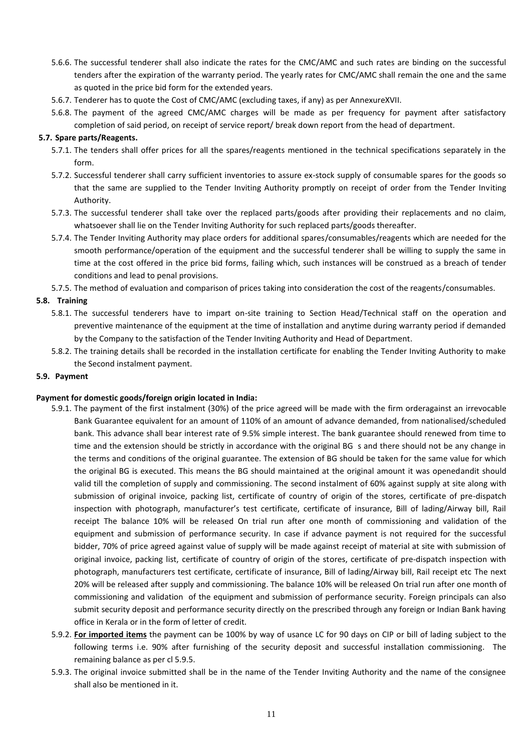- 5.6.6. The successful tenderer shall also indicate the rates for the CMC/AMC and such rates are binding on the successful tenders after the expiration of the warranty period. The yearly rates for CMC/AMC shall remain the one and the same as quoted in the price bid form for the extended years.
- 5.6.7. Tenderer has to quote the Cost of CMC/AMC (excluding taxes, if any) as per AnnexureXVII.
- 5.6.8. The payment of the agreed CMC/AMC charges will be made as per frequency for payment after satisfactory completion of said period, on receipt of service report/ break down report from the head of department.

### **5.7. Spare parts/Reagents.**

- 5.7.1. The tenders shall offer prices for all the spares/reagents mentioned in the technical specifications separately in the form.
- 5.7.2. Successful tenderer shall carry sufficient inventories to assure ex-stock supply of consumable spares for the goods so that the same are supplied to the Tender Inviting Authority promptly on receipt of order from the Tender Inviting Authority.
- 5.7.3. The successful tenderer shall take over the replaced parts/goods after providing their replacements and no claim, whatsoever shall lie on the Tender Inviting Authority for such replaced parts/goods thereafter.
- 5.7.4. The Tender Inviting Authority may place orders for additional spares/consumables/reagents which are needed for the smooth performance/operation of the equipment and the successful tenderer shall be willing to supply the same in time at the cost offered in the price bid forms, failing which, such instances will be construed as a breach of tender conditions and lead to penal provisions.
- 5.7.5. The method of evaluation and comparison of prices taking into consideration the cost of the reagents/consumables.

### **5.8. Training**

- 5.8.1. The successful tenderers have to impart on-site training to Section Head/Technical staff on the operation and preventive maintenance of the equipment at the time of installation and anytime during warranty period if demanded by the Company to the satisfaction of the Tender Inviting Authority and Head of Department.
- 5.8.2. The training details shall be recorded in the installation certificate for enabling the Tender Inviting Authority to make the Second instalment payment.

#### **5.9. Payment**

#### **Payment for domestic goods/foreign origin located in India:**

- 5.9.1. The payment of the first instalment (30%) of the price agreed will be made with the firm orderagainst an irrevocable Bank Guarantee equivalent for an amount of 110% of an amount of advance demanded, from nationalised/scheduled bank. This advance shall bear interest rate of 9.5% simple interest. The bank guarantee should renewed from time to time and the extension should be strictly in accordance with the original BG s and there should not be any change in the terms and conditions of the original guarantee. The extension of BG should be taken for the same value for which the original BG is executed. This means the BG should maintained at the original amount it was openedandit should valid till the completion of supply and commissioning. The second instalment of 60% against supply at site along with submission of original invoice, packing list, certificate of country of origin of the stores, certificate of pre-dispatch inspection with photograph, manufacturer's test certificate, certificate of insurance, Bill of lading/Airway bill, Rail receipt The balance 10% will be released On trial run after one month of commissioning and validation of the equipment and submission of performance security. In case if advance payment is not required for the successful bidder, 70% of price agreed against value of supply will be made against receipt of material at site with submission of original invoice, packing list, certificate of country of origin of the stores, certificate of pre-dispatch inspection with photograph, manufacturers test certificate, certificate of insurance, Bill of lading/Airway bill, Rail receipt etc The next 20% will be released after supply and commissioning. The balance 10% will be released On trial run after one month of commissioning and validation of the equipment and submission of performance security. Foreign principals can also submit security deposit and performance security directly on the prescribed through any foreign or Indian Bank having office in Kerala or in the form of letter of credit.
- 5.9.2. **For imported items** the payment can be 100% by way of usance LC for 90 days on CIP or bill of lading subject to the following terms i.e. 90% after furnishing of the security deposit and successful installation commissioning. The remaining balance as per cl 5.9.5.
- 5.9.3. The original invoice submitted shall be in the name of the Tender Inviting Authority and the name of the consignee shall also be mentioned in it.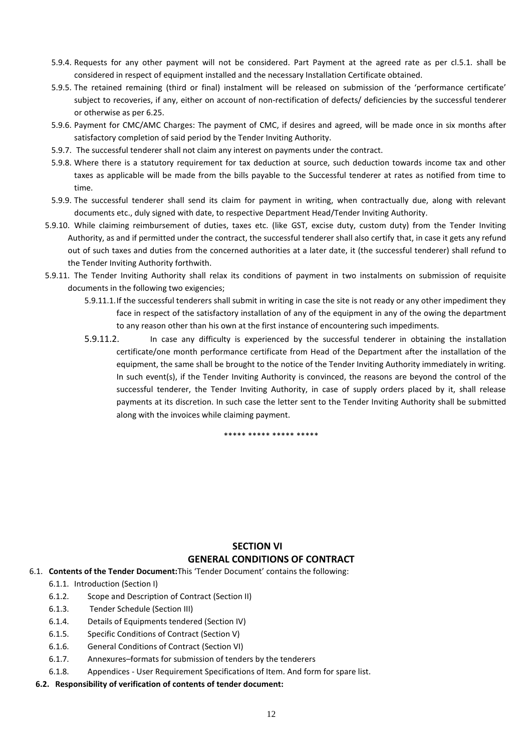- 5.9.4. Requests for any other payment will not be considered. Part Payment at the agreed rate as per cl.5.1. shall be considered in respect of equipment installed and the necessary Installation Certificate obtained.
- 5.9.5. The retained remaining (third or final) instalment will be released on submission of the 'performance certificate' subject to recoveries, if any, either on account of non-rectification of defects/ deficiencies by the successful tenderer or otherwise as per 6.25.
- 5.9.6. Payment for CMC/AMC Charges: The payment of CMC, if desires and agreed, will be made once in six months after satisfactory completion of said period by the Tender Inviting Authority.
- 5.9.7. The successful tenderer shall not claim any interest on payments under the contract.
- 5.9.8. Where there is a statutory requirement for tax deduction at source, such deduction towards income tax and other taxes as applicable will be made from the bills payable to the Successful tenderer at rates as notified from time to time.
- 5.9.9. The successful tenderer shall send its claim for payment in writing, when contractually due, along with relevant documents etc., duly signed with date, to respective Department Head/Tender Inviting Authority.
- 5.9.10. While claiming reimbursement of duties, taxes etc. (like GST, excise duty, custom duty) from the Tender Inviting Authority, as and if permitted under the contract, the successful tenderer shall also certify that, in case it gets any refund out of such taxes and duties from the concerned authorities at a later date, it (the successful tenderer) shall refund to the Tender Inviting Authority forthwith.
- 5.9.11. The Tender Inviting Authority shall relax its conditions of payment in two instalments on submission of requisite documents in the following two exigencies;
	- 5.9.11.1.If the successful tenderers shall submit in writing in case the site is not ready or any other impediment they face in respect of the satisfactory installation of any of the equipment in any of the owing the department to any reason other than his own at the first instance of encountering such impediments.
	- 5.9.11.2. In case any difficulty is experienced by the successful tenderer in obtaining the installation certificate/one month performance certificate from Head of the Department after the installation of the equipment, the same shall be brought to the notice of the Tender Inviting Authority immediately in writing. In such event(s), if the Tender Inviting Authority is convinced, the reasons are beyond the control of the successful tenderer, the Tender Inviting Authority, in case of supply orders placed by it, shall release payments at its discretion. In such case the letter sent to the Tender Inviting Authority shall be submitted along with the invoices while claiming payment.

\*\*\*\*\* \*\*\*\*\* \*\*\*\*\* \*\*\*\*\*

# **SECTION VI GENERAL CONDITIONS OF CONTRACT**

- 6.1. **Contents of the Tender Document:**This 'Tender Document' contains the following:
	- 6.1.1. Introduction (Section I)
	- 6.1.2. Scope and Description of Contract (Section II)
	- 6.1.3. Tender Schedule (Section III)
	- 6.1.4. Details of Equipments tendered (Section IV)
	- 6.1.5. Specific Conditions of Contract (Section V)
	- 6.1.6. General Conditions of Contract (Section VI)
	- 6.1.7. Annexures–formats for submission of tenders by the tenderers
	- 6.1.8. Appendices User Requirement Specifications of Item. And form for spare list.

#### **6.2. Responsibility of verification of contents of tender document:**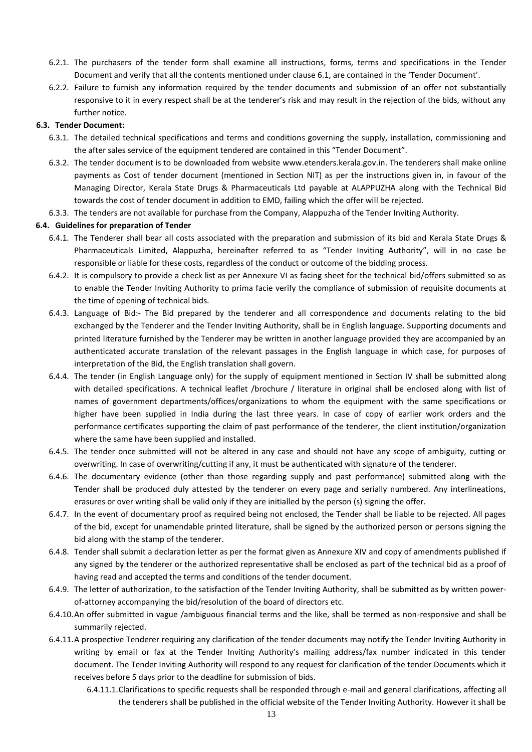- 6.2.1. The purchasers of the tender form shall examine all instructions, forms, terms and specifications in the Tender Document and verify that all the contents mentioned under clause 6.1, are contained in the 'Tender Document'.
- 6.2.2. Failure to furnish any information required by the tender documents and submission of an offer not substantially responsive to it in every respect shall be at the tenderer's risk and may result in the rejection of the bids, without any further notice.

### **6.3. Tender Document:**

- 6.3.1. The detailed technical specifications and terms and conditions governing the supply, installation, commissioning and the after sales service of the equipment tendered are contained in this "Tender Document".
- 6.3.2. The tender document is to be downloaded from website www.etenders.kerala.gov.in. The tenderers shall make online payments as Cost of tender document (mentioned in Section NIT) as per the instructions given in, in favour of the Managing Director, Kerala State Drugs & Pharmaceuticals Ltd payable at ALAPPUZHA along with the Technical Bid towards the cost of tender document in addition to EMD, failing which the offer will be rejected.
- 6.3.3. The tenders are not available for purchase from the Company, Alappuzha of the Tender Inviting Authority.

#### **6.4. Guidelines for preparation of Tender**

- 6.4.1. The Tenderer shall bear all costs associated with the preparation and submission of its bid and Kerala State Drugs & Pharmaceuticals Limited, Alappuzha, hereinafter referred to as "Tender Inviting Authority", will in no case be responsible or liable for these costs, regardless of the conduct or outcome of the bidding process.
- 6.4.2. It is compulsory to provide a check list as per Annexure VI as facing sheet for the technical bid/offers submitted so as to enable the Tender Inviting Authority to prima facie verify the compliance of submission of requisite documents at the time of opening of technical bids.
- 6.4.3. Language of Bid:- The Bid prepared by the tenderer and all correspondence and documents relating to the bid exchanged by the Tenderer and the Tender Inviting Authority, shall be in English language. Supporting documents and printed literature furnished by the Tenderer may be written in another language provided they are accompanied by an authenticated accurate translation of the relevant passages in the English language in which case, for purposes of interpretation of the Bid, the English translation shall govern.
- 6.4.4. The tender (in English Language only) for the supply of equipment mentioned in Section IV shall be submitted along with detailed specifications. A technical leaflet /brochure / literature in original shall be enclosed along with list of names of government departments/offices/organizations to whom the equipment with the same specifications or higher have been supplied in India during the last three years. In case of copy of earlier work orders and the performance certificates supporting the claim of past performance of the tenderer, the client institution/organization where the same have been supplied and installed.
- 6.4.5. The tender once submitted will not be altered in any case and should not have any scope of ambiguity, cutting or overwriting. In case of overwriting/cutting if any, it must be authenticated with signature of the tenderer.
- 6.4.6. The documentary evidence (other than those regarding supply and past performance) submitted along with the Tender shall be produced duly attested by the tenderer on every page and serially numbered. Any interlineations, erasures or over writing shall be valid only if they are initialled by the person (s) signing the offer.
- 6.4.7. In the event of documentary proof as required being not enclosed, the Tender shall be liable to be rejected. All pages of the bid, except for unamendable printed literature, shall be signed by the authorized person or persons signing the bid along with the stamp of the tenderer.
- 6.4.8. Tender shall submit a declaration letter as per the format given as Annexure XIV and copy of amendments published if any signed by the tenderer or the authorized representative shall be enclosed as part of the technical bid as a proof of having read and accepted the terms and conditions of the tender document.
- 6.4.9. The letter of authorization, to the satisfaction of the Tender Inviting Authority, shall be submitted as by written powerof-attorney accompanying the bid/resolution of the board of directors etc.
- 6.4.10.An offer submitted in vague /ambiguous financial terms and the like, shall be termed as non-responsive and shall be summarily rejected.
- 6.4.11.A prospective Tenderer requiring any clarification of the tender documents may notify the Tender Inviting Authority in writing by email or fax at the Tender Inviting Authority's mailing address/fax number indicated in this tender document. The Tender Inviting Authority will respond to any request for clarification of the tender Documents which it receives before 5 days prior to the deadline for submission of bids.
	- 6.4.11.1.Clarifications to specific requests shall be responded through e-mail and general clarifications, affecting all the tenderers shall be published in the official website of the Tender Inviting Authority. However it shall be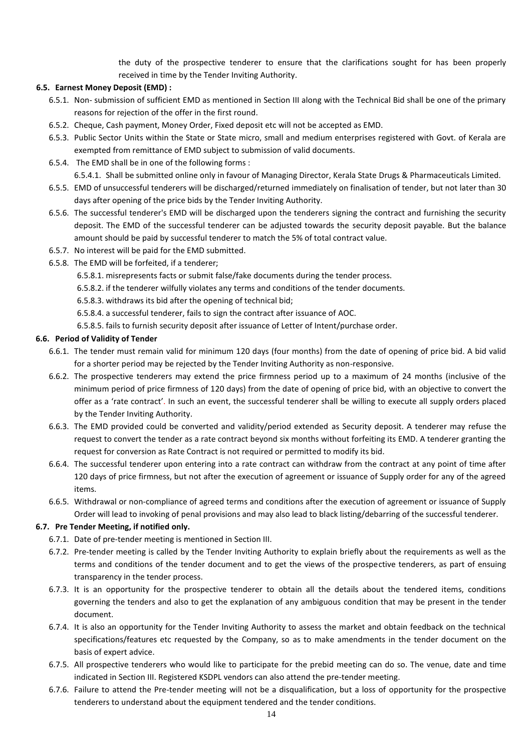the duty of the prospective tenderer to ensure that the clarifications sought for has been properly received in time by the Tender Inviting Authority.

## **6.5. Earnest Money Deposit (EMD) :**

- 6.5.1. Non- submission of sufficient EMD as mentioned in Section III along with the Technical Bid shall be one of the primary reasons for rejection of the offer in the first round.
- 6.5.2. Cheque, Cash payment, Money Order, Fixed deposit etc will not be accepted as EMD.
- 6.5.3. Public Sector Units within the State or State micro, small and medium enterprises registered with Govt. of Kerala are exempted from remittance of EMD subject to submission of valid documents.
- 6.5.4. The EMD shall be in one of the following forms :

6.5.4.1. Shall be submitted online only in favour of Managing Director, Kerala State Drugs & Pharmaceuticals Limited.

- 6.5.5. EMD of unsuccessful tenderers will be discharged/returned immediately on finalisation of tender, but not later than 30 days after opening of the price bids by the Tender Inviting Authority.
- 6.5.6. The successful tenderer's EMD will be discharged upon the tenderers signing the contract and furnishing the security deposit. The EMD of the successful tenderer can be adjusted towards the security deposit payable. But the balance amount should be paid by successful tenderer to match the 5% of total contract value.
- 6.5.7. No interest will be paid for the EMD submitted.
- 6.5.8. The EMD will be forfeited, if a tenderer;
	- 6.5.8.1. misrepresents facts or submit false/fake documents during the tender process.
	- 6.5.8.2. if the tenderer wilfully violates any terms and conditions of the tender documents.
	- 6.5.8.3. withdraws its bid after the opening of technical bid;
	- 6.5.8.4. a successful tenderer, fails to sign the contract after issuance of AOC.
	- 6.5.8.5. fails to furnish security deposit after issuance of Letter of Intent/purchase order.

## **6.6. Period of Validity of Tender**

- 6.6.1. The tender must remain valid for minimum 120 days (four months) from the date of opening of price bid. A bid valid for a shorter period may be rejected by the Tender Inviting Authority as non-responsive.
- 6.6.2. The prospective tenderers may extend the price firmness period up to a maximum of 24 months (inclusive of the minimum period of price firmness of 120 days) from the date of opening of price bid, with an objective to convert the offer as a 'rate contract'. In such an event, the successful tenderer shall be willing to execute all supply orders placed by the Tender Inviting Authority.
- 6.6.3. The EMD provided could be converted and validity/period extended as Security deposit. A tenderer may refuse the request to convert the tender as a rate contract beyond six months without forfeiting its EMD. A tenderer granting the request for conversion as Rate Contract is not required or permitted to modify its bid.
- 6.6.4. The successful tenderer upon entering into a rate contract can withdraw from the contract at any point of time after 120 days of price firmness, but not after the execution of agreement or issuance of Supply order for any of the agreed items.
- 6.6.5. Withdrawal or non-compliance of agreed terms and conditions after the execution of agreement or issuance of Supply Order will lead to invoking of penal provisions and may also lead to black listing/debarring of the successful tenderer.

## **6.7. Pre Tender Meeting, if notified only.**

- 6.7.1. Date of pre-tender meeting is mentioned in Section III.
- 6.7.2. Pre-tender meeting is called by the Tender Inviting Authority to explain briefly about the requirements as well as the terms and conditions of the tender document and to get the views of the prospective tenderers, as part of ensuing transparency in the tender process.
- 6.7.3. It is an opportunity for the prospective tenderer to obtain all the details about the tendered items, conditions governing the tenders and also to get the explanation of any ambiguous condition that may be present in the tender document.
- 6.7.4. It is also an opportunity for the Tender Inviting Authority to assess the market and obtain feedback on the technical specifications/features etc requested by the Company, so as to make amendments in the tender document on the basis of expert advice.
- 6.7.5. All prospective tenderers who would like to participate for the prebid meeting can do so. The venue, date and time indicated in Section III. Registered KSDPL vendors can also attend the pre-tender meeting.
- 6.7.6. Failure to attend the Pre-tender meeting will not be a disqualification, but a loss of opportunity for the prospective tenderers to understand about the equipment tendered and the tender conditions.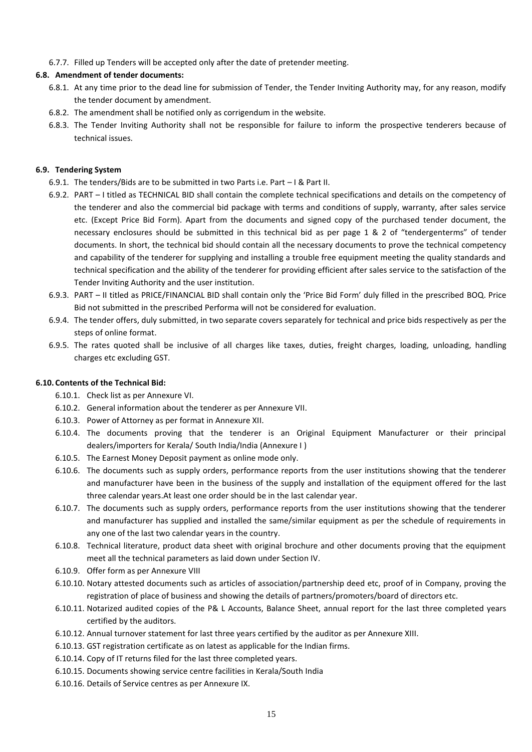6.7.7. Filled up Tenders will be accepted only after the date of pretender meeting.

## **6.8. Amendment of tender documents:**

- 6.8.1. At any time prior to the dead line for submission of Tender, the Tender Inviting Authority may, for any reason, modify the tender document by amendment.
- 6.8.2. The amendment shall be notified only as corrigendum in the website.
- 6.8.3. The Tender Inviting Authority shall not be responsible for failure to inform the prospective tenderers because of technical issues.

## **6.9. Tendering System**

- 6.9.1. The tenders/Bids are to be submitted in two Parts i.e. Part I & Part II.
- 6.9.2. PART I titled as TECHNICAL BID shall contain the complete technical specifications and details on the competency of the tenderer and also the commercial bid package with terms and conditions of supply, warranty, after sales service etc. (Except Price Bid Form). Apart from the documents and signed copy of the purchased tender document, the necessary enclosures should be submitted in this technical bid as per page 1 & 2 of "tendergenterms" of tender documents. In short, the technical bid should contain all the necessary documents to prove the technical competency and capability of the tenderer for supplying and installing a trouble free equipment meeting the quality standards and technical specification and the ability of the tenderer for providing efficient after sales service to the satisfaction of the Tender Inviting Authority and the user institution.
- 6.9.3. PART II titled as PRICE/FINANCIAL BID shall contain only the 'Price Bid Form' duly filled in the prescribed BOQ. Price Bid not submitted in the prescribed Performa will not be considered for evaluation.
- 6.9.4. The tender offers, duly submitted, in two separate covers separately for technical and price bids respectively as per the steps of online format.
- 6.9.5. The rates quoted shall be inclusive of all charges like taxes, duties, freight charges, loading, unloading, handling charges etc excluding GST.

## **6.10. Contents of the Technical Bid:**

- 6.10.1. Check list as per Annexure VI.
- 6.10.2. General information about the tenderer as per Annexure VII.
- 6.10.3. Power of Attorney as per format in Annexure XII.
- 6.10.4. The documents proving that the tenderer is an Original Equipment Manufacturer or their principal dealers/importers for Kerala/ South India/India (Annexure I )
- 6.10.5. The Earnest Money Deposit payment as online mode only.
- 6.10.6. The documents such as supply orders, performance reports from the user institutions showing that the tenderer and manufacturer have been in the business of the supply and installation of the equipment offered for the last three calendar years.At least one order should be in the last calendar year.
- 6.10.7. The documents such as supply orders, performance reports from the user institutions showing that the tenderer and manufacturer has supplied and installed the same/similar equipment as per the schedule of requirements in any one of the last two calendar years in the country.
- 6.10.8. Technical literature, product data sheet with original brochure and other documents proving that the equipment meet all the technical parameters as laid down under Section IV.
- 6.10.9. Offer form as per Annexure VIII
- 6.10.10. Notary attested documents such as articles of association/partnership deed etc, proof of in Company, proving the registration of place of business and showing the details of partners/promoters/board of directors etc.
- 6.10.11. Notarized audited copies of the P& L Accounts, Balance Sheet, annual report for the last three completed years certified by the auditors.
- 6.10.12. Annual turnover statement for last three years certified by the auditor as per Annexure XIII.
- 6.10.13. GST registration certificate as on latest as applicable for the Indian firms.
- 6.10.14. Copy of IT returns filed for the last three completed years.
- 6.10.15. Documents showing service centre facilities in Kerala/South India
- 6.10.16. Details of Service centres as per Annexure IX.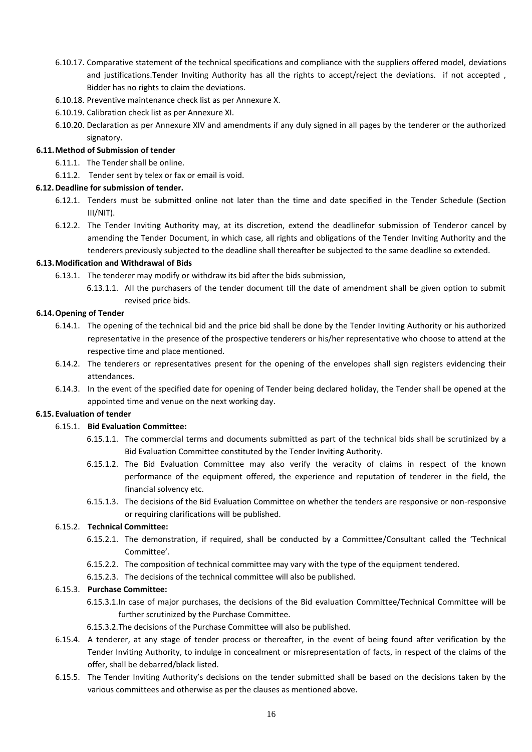- 6.10.17. Comparative statement of the technical specifications and compliance with the suppliers offered model, deviations and justifications.Tender Inviting Authority has all the rights to accept/reject the deviations. if not accepted , Bidder has no rights to claim the deviations.
- 6.10.18. Preventive maintenance check list as per Annexure X.
- 6.10.19. Calibration check list as per Annexure XI.
- 6.10.20. Declaration as per Annexure XIV and amendments if any duly signed in all pages by the tenderer or the authorized signatory.

### **6.11.Method of Submission of tender**

- 6.11.1. The Tender shall be online.
- 6.11.2. Tender sent by telex or fax or email is void.

### **6.12.Deadline for submission of tender.**

- 6.12.1. Tenders must be submitted online not later than the time and date specified in the Tender Schedule (Section III/NIT).
- 6.12.2. The Tender Inviting Authority may, at its discretion, extend the deadlinefor submission of Tenderor cancel by amending the Tender Document, in which case, all rights and obligations of the Tender Inviting Authority and the tenderers previously subjected to the deadline shall thereafter be subjected to the same deadline so extended.

### **6.13.Modification and Withdrawal of Bids**

- 6.13.1. The tenderer may modify or withdraw its bid after the bids submission,
	- 6.13.1.1. All the purchasers of the tender document till the date of amendment shall be given option to submit revised price bids.

## **6.14.Opening of Tender**

- 6.14.1. The opening of the technical bid and the price bid shall be done by the Tender Inviting Authority or his authorized representative in the presence of the prospective tenderers or his/her representative who choose to attend at the respective time and place mentioned.
- 6.14.2. The tenderers or representatives present for the opening of the envelopes shall sign registers evidencing their attendances.
- 6.14.3. In the event of the specified date for opening of Tender being declared holiday, the Tender shall be opened at the appointed time and venue on the next working day.

#### **6.15. Evaluation of tender**

## 6.15.1. **Bid Evaluation Committee:**

- 6.15.1.1. The commercial terms and documents submitted as part of the technical bids shall be scrutinized by a Bid Evaluation Committee constituted by the Tender Inviting Authority.
- 6.15.1.2. The Bid Evaluation Committee may also verify the veracity of claims in respect of the known performance of the equipment offered, the experience and reputation of tenderer in the field, the financial solvency etc.
- 6.15.1.3. The decisions of the Bid Evaluation Committee on whether the tenders are responsive or non-responsive or requiring clarifications will be published.

## 6.15.2. **Technical Committee:**

- 6.15.2.1. The demonstration, if required, shall be conducted by a Committee/Consultant called the 'Technical Committee'.
- 6.15.2.2. The composition of technical committee may vary with the type of the equipment tendered.
- 6.15.2.3. The decisions of the technical committee will also be published.

#### 6.15.3. **Purchase Committee:**

- 6.15.3.1.In case of major purchases, the decisions of the Bid evaluation Committee/Technical Committee will be further scrutinized by the Purchase Committee.
- 6.15.3.2.The decisions of the Purchase Committee will also be published.
- 6.15.4. A tenderer, at any stage of tender process or thereafter, in the event of being found after verification by the Tender Inviting Authority, to indulge in concealment or misrepresentation of facts, in respect of the claims of the offer, shall be debarred/black listed.
- 6.15.5. The Tender Inviting Authority's decisions on the tender submitted shall be based on the decisions taken by the various committees and otherwise as per the clauses as mentioned above.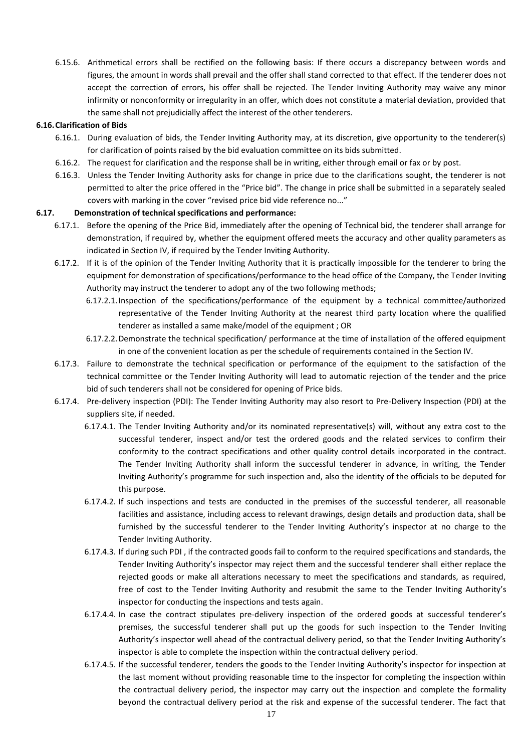6.15.6. Arithmetical errors shall be rectified on the following basis: If there occurs a discrepancy between words and figures, the amount in words shall prevail and the offer shall stand corrected to that effect. If the tenderer does not accept the correction of errors, his offer shall be rejected. The Tender Inviting Authority may waive any minor infirmity or nonconformity or irregularity in an offer, which does not constitute a material deviation, provided that the same shall not prejudicially affect the interest of the other tenderers.

## **6.16.Clarification of Bids**

- 6.16.1. During evaluation of bids, the Tender Inviting Authority may, at its discretion, give opportunity to the tenderer(s) for clarification of points raised by the bid evaluation committee on its bids submitted.
- 6.16.2. The request for clarification and the response shall be in writing, either through email or fax or by post.
- 6.16.3. Unless the Tender Inviting Authority asks for change in price due to the clarifications sought, the tenderer is not permitted to alter the price offered in the "Price bid". The change in price shall be submitted in a separately sealed covers with marking in the cover "revised price bid vide reference no..."

## **6.17. Demonstration of technical specifications and performance:**

- 6.17.1. Before the opening of the Price Bid, immediately after the opening of Technical bid, the tenderer shall arrange for demonstration, if required by, whether the equipment offered meets the accuracy and other quality parameters as indicated in Section IV, if required by the Tender Inviting Authority.
- 6.17.2. If it is of the opinion of the Tender Inviting Authority that it is practically impossible for the tenderer to bring the equipment for demonstration of specifications/performance to the head office of the Company, the Tender Inviting Authority may instruct the tenderer to adopt any of the two following methods;
	- 6.17.2.1.Inspection of the specifications/performance of the equipment by a technical committee/authorized representative of the Tender Inviting Authority at the nearest third party location where the qualified tenderer as installed a same make/model of the equipment ; OR
	- 6.17.2.2.Demonstrate the technical specification/ performance at the time of installation of the offered equipment in one of the convenient location as per the schedule of requirements contained in the Section IV.
- 6.17.3. Failure to demonstrate the technical specification or performance of the equipment to the satisfaction of the technical committee or the Tender Inviting Authority will lead to automatic rejection of the tender and the price bid of such tenderers shall not be considered for opening of Price bids.
- 6.17.4. Pre-delivery inspection (PDI): The Tender Inviting Authority may also resort to Pre-Delivery Inspection (PDI) at the suppliers site, if needed.
	- 6.17.4.1. The Tender Inviting Authority and/or its nominated representative(s) will, without any extra cost to the successful tenderer, inspect and/or test the ordered goods and the related services to confirm their conformity to the contract specifications and other quality control details incorporated in the contract. The Tender Inviting Authority shall inform the successful tenderer in advance, in writing, the Tender Inviting Authority's programme for such inspection and, also the identity of the officials to be deputed for this purpose.
	- 6.17.4.2. If such inspections and tests are conducted in the premises of the successful tenderer, all reasonable facilities and assistance, including access to relevant drawings, design details and production data, shall be furnished by the successful tenderer to the Tender Inviting Authority's inspector at no charge to the Tender Inviting Authority.
	- 6.17.4.3. If during such PDI , if the contracted goods fail to conform to the required specifications and standards, the Tender Inviting Authority's inspector may reject them and the successful tenderer shall either replace the rejected goods or make all alterations necessary to meet the specifications and standards, as required, free of cost to the Tender Inviting Authority and resubmit the same to the Tender Inviting Authority's inspector for conducting the inspections and tests again.
	- 6.17.4.4. In case the contract stipulates pre-delivery inspection of the ordered goods at successful tenderer's premises, the successful tenderer shall put up the goods for such inspection to the Tender Inviting Authority's inspector well ahead of the contractual delivery period, so that the Tender Inviting Authority's inspector is able to complete the inspection within the contractual delivery period.
	- 6.17.4.5. If the successful tenderer, tenders the goods to the Tender Inviting Authority's inspector for inspection at the last moment without providing reasonable time to the inspector for completing the inspection within the contractual delivery period, the inspector may carry out the inspection and complete the formality beyond the contractual delivery period at the risk and expense of the successful tenderer. The fact that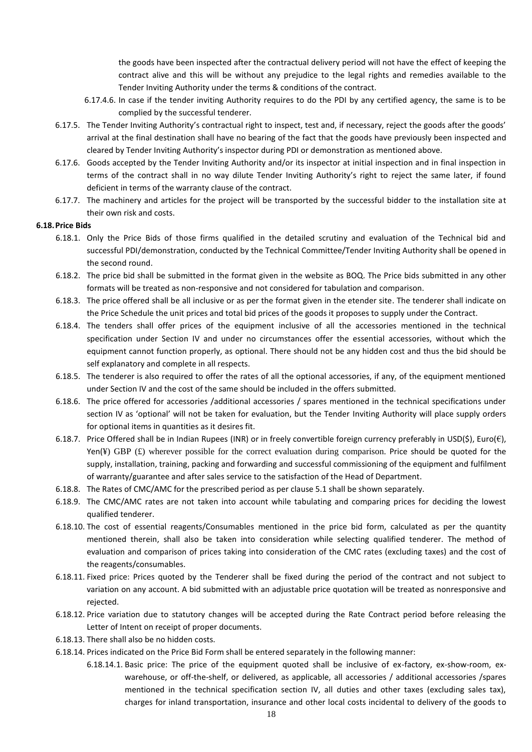the goods have been inspected after the contractual delivery period will not have the effect of keeping the contract alive and this will be without any prejudice to the legal rights and remedies available to the Tender Inviting Authority under the terms & conditions of the contract.

- 6.17.4.6. In case if the tender inviting Authority requires to do the PDI by any certified agency, the same is to be complied by the successful tenderer.
- 6.17.5. The Tender Inviting Authority's contractual right to inspect, test and, if necessary, reject the goods after the goods' arrival at the final destination shall have no bearing of the fact that the goods have previously been inspected and cleared by Tender Inviting Authority's inspector during PDI or demonstration as mentioned above.
- 6.17.6. Goods accepted by the Tender Inviting Authority and/or its inspector at initial inspection and in final inspection in terms of the contract shall in no way dilute Tender Inviting Authority's right to reject the same later, if found deficient in terms of the warranty clause of the contract.
- 6.17.7. The machinery and articles for the project will be transported by the successful bidder to the installation site at their own risk and costs.

### **6.18.Price Bids**

- 6.18.1. Only the Price Bids of those firms qualified in the detailed scrutiny and evaluation of the Technical bid and successful PDI/demonstration, conducted by the Technical Committee/Tender Inviting Authority shall be opened in the second round.
- 6.18.2. The price bid shall be submitted in the format given in the website as BOQ. The Price bids submitted in any other formats will be treated as non-responsive and not considered for tabulation and comparison.
- 6.18.3. The price offered shall be all inclusive or as per the format given in the etender site. The tenderer shall indicate on the Price Schedule the unit prices and total bid prices of the goods it proposes to supply under the Contract.
- 6.18.4. The tenders shall offer prices of the equipment inclusive of all the accessories mentioned in the technical specification under Section IV and under no circumstances offer the essential accessories, without which the equipment cannot function properly, as optional. There should not be any hidden cost and thus the bid should be self explanatory and complete in all respects.
- 6.18.5. The tenderer is also required to offer the rates of all the optional accessories, if any, of the equipment mentioned under Section IV and the cost of the same should be included in the offers submitted.
- 6.18.6. The price offered for accessories /additional accessories / spares mentioned in the technical specifications under section IV as 'optional' will not be taken for evaluation, but the Tender Inviting Authority will place supply orders for optional items in quantities as it desires fit.
- 6.18.7. Price Offered shall be in Indian Rupees (INR) or in freely convertible foreign currency preferably in USD(\$), Euro(€), Yen(¥) GBP  $(E)$  wherever possible for the correct evaluation during comparison. Price should be quoted for the supply, installation, training, packing and forwarding and successful commissioning of the equipment and fulfilment of warranty/guarantee and after sales service to the satisfaction of the Head of Department.
- 6.18.8. The Rates of CMC/AMC for the prescribed period as per clause 5.1 shall be shown separately.
- 6.18.9. The CMC/AMC rates are not taken into account while tabulating and comparing prices for deciding the lowest qualified tenderer.
- 6.18.10. The cost of essential reagents/Consumables mentioned in the price bid form, calculated as per the quantity mentioned therein, shall also be taken into consideration while selecting qualified tenderer. The method of evaluation and comparison of prices taking into consideration of the CMC rates (excluding taxes) and the cost of the reagents/consumables.
- 6.18.11. Fixed price: Prices quoted by the Tenderer shall be fixed during the period of the contract and not subject to variation on any account. A bid submitted with an adjustable price quotation will be treated as nonresponsive and rejected.
- 6.18.12. Price variation due to statutory changes will be accepted during the Rate Contract period before releasing the Letter of Intent on receipt of proper documents.
- 6.18.13. There shall also be no hidden costs.
- 6.18.14. Prices indicated on the Price Bid Form shall be entered separately in the following manner:
	- 6.18.14.1. Basic price: The price of the equipment quoted shall be inclusive of ex-factory, ex-show-room, exwarehouse, or off-the-shelf, or delivered, as applicable, all accessories / additional accessories /spares mentioned in the technical specification section IV, all duties and other taxes (excluding sales tax), charges for inland transportation, insurance and other local costs incidental to delivery of the goods to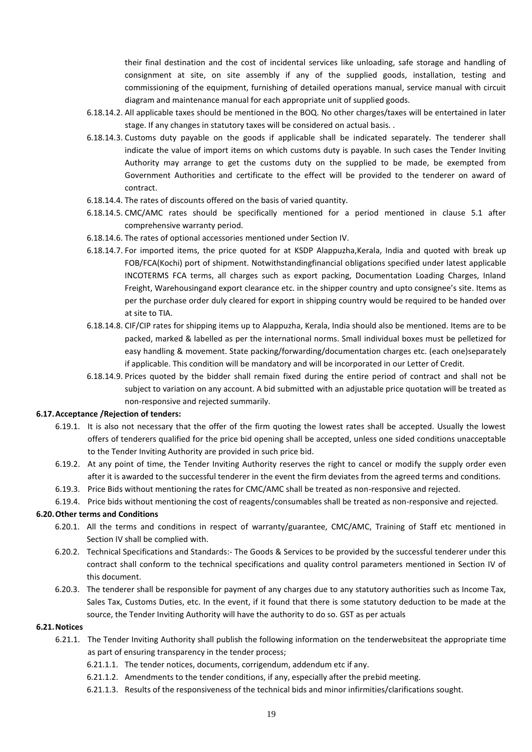their final destination and the cost of incidental services like unloading, safe storage and handling of consignment at site, on site assembly if any of the supplied goods, installation, testing and commissioning of the equipment, furnishing of detailed operations manual, service manual with circuit diagram and maintenance manual for each appropriate unit of supplied goods.

- 6.18.14.2. All applicable taxes should be mentioned in the BOQ. No other charges/taxes will be entertained in later stage. If any changes in statutory taxes will be considered on actual basis. .
- 6.18.14.3. Customs duty payable on the goods if applicable shall be indicated separately. The tenderer shall indicate the value of import items on which customs duty is payable. In such cases the Tender Inviting Authority may arrange to get the customs duty on the supplied to be made, be exempted from Government Authorities and certificate to the effect will be provided to the tenderer on award of contract.
- 6.18.14.4. The rates of discounts offered on the basis of varied quantity.
- 6.18.14.5. CMC/AMC rates should be specifically mentioned for a period mentioned in clause 5.1 after comprehensive warranty period.
- 6.18.14.6. The rates of optional accessories mentioned under Section IV.
- 6.18.14.7. For imported items, the price quoted for at KSDP Alappuzha,Kerala, India and quoted with break up FOB/FCA(Kochi) port of shipment. Notwithstandingfinancial obligations specified under latest applicable INCOTERMS FCA terms, all charges such as export packing, Documentation Loading Charges, Inland Freight, Warehousingand export clearance etc. in the shipper country and upto consignee's site. Items as per the purchase order duly cleared for export in shipping country would be required to be handed over at site to TIA.
- 6.18.14.8. CIF/CIP rates for shipping items up to Alappuzha, Kerala, India should also be mentioned. Items are to be packed, marked & labelled as per the international norms. Small individual boxes must be pelletized for easy handling & movement. State packing/forwarding/documentation charges etc. (each one)separately if applicable. This condition will be mandatory and will be incorporated in our Letter of Credit.
- 6.18.14.9. Prices quoted by the bidder shall remain fixed during the entire period of contract and shall not be subject to variation on any account. A bid submitted with an adjustable price quotation will be treated as non-responsive and rejected summarily.

#### **6.17.Acceptance /Rejection of tenders:**

- 6.19.1. It is also not necessary that the offer of the firm quoting the lowest rates shall be accepted. Usually the lowest offers of tenderers qualified for the price bid opening shall be accepted, unless one sided conditions unacceptable to the Tender Inviting Authority are provided in such price bid.
- 6.19.2. At any point of time, the Tender Inviting Authority reserves the right to cancel or modify the supply order even after it is awarded to the successful tenderer in the event the firm deviates from the agreed terms and conditions.
- 6.19.3. Price Bids without mentioning the rates for CMC/AMC shall be treated as non-responsive and rejected.

6.19.4. Price bids without mentioning the cost of reagents/consumables shall be treated as non-responsive and rejected.

#### **6.20.Other terms and Conditions**

- 6.20.1. All the terms and conditions in respect of warranty/guarantee, CMC/AMC, Training of Staff etc mentioned in Section IV shall be complied with.
- 6.20.2. Technical Specifications and Standards:- The Goods & Services to be provided by the successful tenderer under this contract shall conform to the technical specifications and quality control parameters mentioned in Section IV of this document.
- 6.20.3. The tenderer shall be responsible for payment of any charges due to any statutory authorities such as Income Tax, Sales Tax, Customs Duties, etc. In the event, if it found that there is some statutory deduction to be made at the source, the Tender Inviting Authority will have the authority to do so. GST as per actuals

## **6.21.Notices**

- 6.21.1. The Tender Inviting Authority shall publish the following information on the tenderwebsiteat the appropriate time as part of ensuring transparency in the tender process;
	- 6.21.1.1. The tender notices, documents, corrigendum, addendum etc if any.
	- 6.21.1.2. Amendments to the tender conditions, if any, especially after the prebid meeting.
	- 6.21.1.3. Results of the responsiveness of the technical bids and minor infirmities/clarifications sought.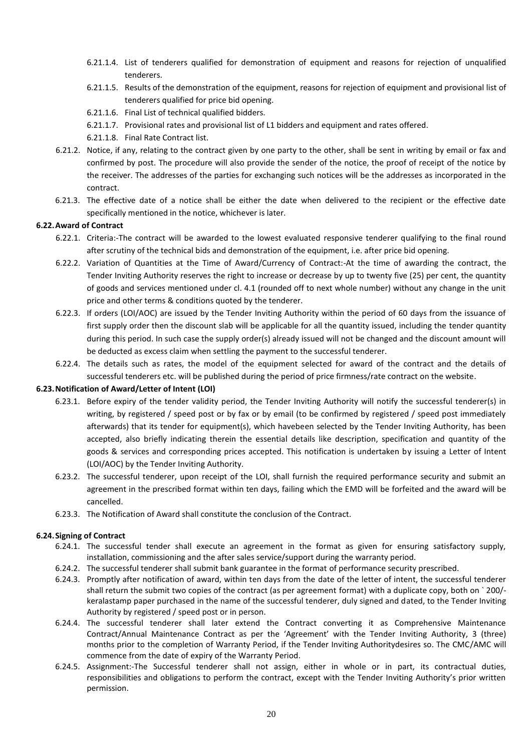- 6.21.1.4. List of tenderers qualified for demonstration of equipment and reasons for rejection of unqualified tenderers.
- 6.21.1.5. Results of the demonstration of the equipment, reasons for rejection of equipment and provisional list of tenderers qualified for price bid opening.
- 6.21.1.6. Final List of technical qualified bidders.
- 6.21.1.7. Provisional rates and provisional list of L1 bidders and equipment and rates offered.
- 6.21.1.8. Final Rate Contract list.
- 6.21.2. Notice, if any, relating to the contract given by one party to the other, shall be sent in writing by email or fax and confirmed by post. The procedure will also provide the sender of the notice, the proof of receipt of the notice by the receiver. The addresses of the parties for exchanging such notices will be the addresses as incorporated in the contract.
- 6.21.3. The effective date of a notice shall be either the date when delivered to the recipient or the effective date specifically mentioned in the notice, whichever is later.

## **6.22.Award of Contract**

- 6.22.1. Criteria:-The contract will be awarded to the lowest evaluated responsive tenderer qualifying to the final round after scrutiny of the technical bids and demonstration of the equipment, i.e. after price bid opening.
- 6.22.2. Variation of Quantities at the Time of Award/Currency of Contract:-At the time of awarding the contract, the Tender Inviting Authority reserves the right to increase or decrease by up to twenty five (25) per cent, the quantity of goods and services mentioned under cl. 4.1 (rounded off to next whole number) without any change in the unit price and other terms & conditions quoted by the tenderer.
- 6.22.3. If orders (LOI/AOC) are issued by the Tender Inviting Authority within the period of 60 days from the issuance of first supply order then the discount slab will be applicable for all the quantity issued, including the tender quantity during this period. In such case the supply order(s) already issued will not be changed and the discount amount will be deducted as excess claim when settling the payment to the successful tenderer.
- 6.22.4. The details such as rates, the model of the equipment selected for award of the contract and the details of successful tenderers etc. will be published during the period of price firmness/rate contract on the website.

## **6.23.Notification of Award/Letter of Intent (LOI)**

- 6.23.1. Before expiry of the tender validity period, the Tender Inviting Authority will notify the successful tenderer(s) in writing, by registered / speed post or by fax or by email (to be confirmed by registered / speed post immediately afterwards) that its tender for equipment(s), which havebeen selected by the Tender Inviting Authority, has been accepted, also briefly indicating therein the essential details like description, specification and quantity of the goods & services and corresponding prices accepted. This notification is undertaken by issuing a Letter of Intent (LOI/AOC) by the Tender Inviting Authority.
- 6.23.2. The successful tenderer, upon receipt of the LOI, shall furnish the required performance security and submit an agreement in the prescribed format within ten days, failing which the EMD will be forfeited and the award will be cancelled.
- 6.23.3. The Notification of Award shall constitute the conclusion of the Contract.

#### **6.24.Signing of Contract**

- 6.24.1. The successful tender shall execute an agreement in the format as given for ensuring satisfactory supply, installation, commissioning and the after sales service/support during the warranty period.
- 6.24.2. The successful tenderer shall submit bank guarantee in the format of performance security prescribed.
- 6.24.3. Promptly after notification of award, within ten days from the date of the letter of intent, the successful tenderer shall return the submit two copies of the contract (as per agreement format) with a duplicate copy, both on ` 200/ keralastamp paper purchased in the name of the successful tenderer, duly signed and dated, to the Tender Inviting Authority by registered / speed post or in person.
- 6.24.4. The successful tenderer shall later extend the Contract converting it as Comprehensive Maintenance Contract/Annual Maintenance Contract as per the 'Agreement' with the Tender Inviting Authority, 3 (three) months prior to the completion of Warranty Period, if the Tender Inviting Authoritydesires so. The CMC/AMC will commence from the date of expiry of the Warranty Period.
- 6.24.5. Assignment:-The Successful tenderer shall not assign, either in whole or in part, its contractual duties, responsibilities and obligations to perform the contract, except with the Tender Inviting Authority's prior written permission.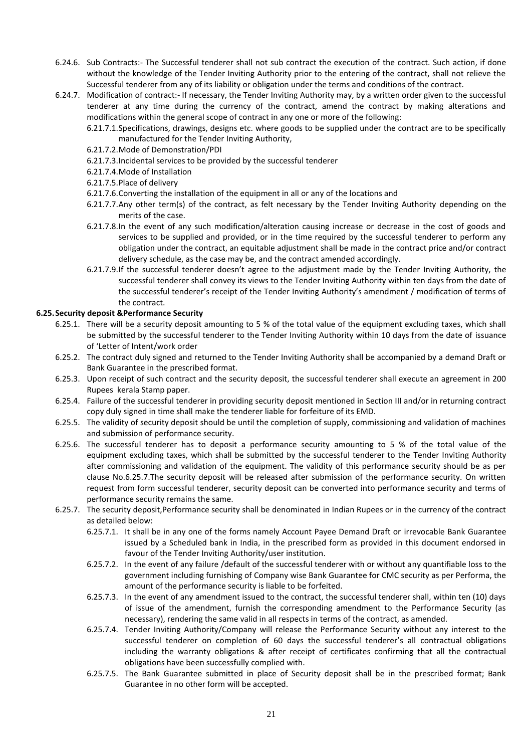- 6.24.6. Sub Contracts:- The Successful tenderer shall not sub contract the execution of the contract. Such action, if done without the knowledge of the Tender Inviting Authority prior to the entering of the contract, shall not relieve the Successful tenderer from any of its liability or obligation under the terms and conditions of the contract.
- 6.24.7. Modification of contract:- If necessary, the Tender Inviting Authority may, by a written order given to the successful tenderer at any time during the currency of the contract, amend the contract by making alterations and modifications within the general scope of contract in any one or more of the following:
	- 6.21.7.1.Specifications, drawings, designs etc. where goods to be supplied under the contract are to be specifically manufactured for the Tender Inviting Authority,
	- 6.21.7.2.Mode of Demonstration/PDI
	- 6.21.7.3.Incidental services to be provided by the successful tenderer
	- 6.21.7.4.Mode of Installation
	- 6.21.7.5.Place of delivery
	- 6.21.7.6.Converting the installation of the equipment in all or any of the locations and
	- 6.21.7.7.Any other term(s) of the contract, as felt necessary by the Tender Inviting Authority depending on the merits of the case.
	- 6.21.7.8.In the event of any such modification/alteration causing increase or decrease in the cost of goods and services to be supplied and provided, or in the time required by the successful tenderer to perform any obligation under the contract, an equitable adjustment shall be made in the contract price and/or contract delivery schedule, as the case may be, and the contract amended accordingly.
	- 6.21.7.9.If the successful tenderer doesn't agree to the adjustment made by the Tender Inviting Authority, the successful tenderer shall convey its views to the Tender Inviting Authority within ten days from the date of the successful tenderer's receipt of the Tender Inviting Authority's amendment / modification of terms of the contract.

## **6.25.Security deposit &Performance Security**

- 6.25.1. There will be a security deposit amounting to 5 % of the total value of the equipment excluding taxes, which shall be submitted by the successful tenderer to the Tender Inviting Authority within 10 days from the date of issuance of 'Letter of Intent/work order
- 6.25.2. The contract duly signed and returned to the Tender Inviting Authority shall be accompanied by a demand Draft or Bank Guarantee in the prescribed format.
- 6.25.3. Upon receipt of such contract and the security deposit, the successful tenderer shall execute an agreement in 200 Rupees kerala Stamp paper.
- 6.25.4. Failure of the successful tenderer in providing security deposit mentioned in Section III and/or in returning contract copy duly signed in time shall make the tenderer liable for forfeiture of its EMD.
- 6.25.5. The validity of security deposit should be until the completion of supply, commissioning and validation of machines and submission of performance security.
- 6.25.6. The successful tenderer has to deposit a performance security amounting to 5 % of the total value of the equipment excluding taxes, which shall be submitted by the successful tenderer to the Tender Inviting Authority after commissioning and validation of the equipment. The validity of this performance security should be as per clause No.6.25.7.The security deposit will be released after submission of the performance security. On written request from form successful tenderer, security deposit can be converted into performance security and terms of performance security remains the same.
- 6.25.7. The security deposit,Performance security shall be denominated in Indian Rupees or in the currency of the contract as detailed below:
	- 6.25.7.1. It shall be in any one of the forms namely Account Payee Demand Draft or irrevocable Bank Guarantee issued by a Scheduled bank in India, in the prescribed form as provided in this document endorsed in favour of the Tender Inviting Authority/user institution.
	- 6.25.7.2. In the event of any failure /default of the successful tenderer with or without any quantifiable loss to the government including furnishing of Company wise Bank Guarantee for CMC security as per Performa, the amount of the performance security is liable to be forfeited.
	- 6.25.7.3. In the event of any amendment issued to the contract, the successful tenderer shall, within ten (10) days of issue of the amendment, furnish the corresponding amendment to the Performance Security (as necessary), rendering the same valid in all respects in terms of the contract, as amended.
	- 6.25.7.4. Tender Inviting Authority/Company will release the Performance Security without any interest to the successful tenderer on completion of 60 days the successful tenderer's all contractual obligations including the warranty obligations & after receipt of certificates confirming that all the contractual obligations have been successfully complied with.
	- 6.25.7.5. The Bank Guarantee submitted in place of Security deposit shall be in the prescribed format; Bank Guarantee in no other form will be accepted.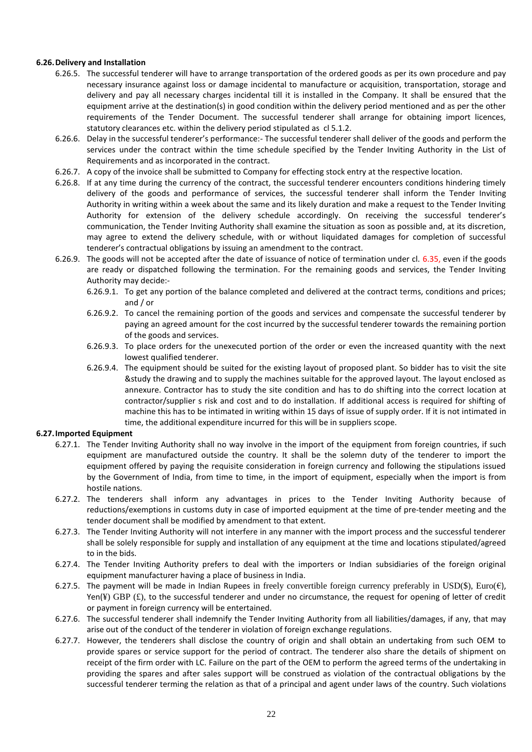## **6.26.Delivery and Installation**

- 6.26.5. The successful tenderer will have to arrange transportation of the ordered goods as per its own procedure and pay necessary insurance against loss or damage incidental to manufacture or acquisition, transportation, storage and delivery and pay all necessary charges incidental till it is installed in the Company. It shall be ensured that the equipment arrive at the destination(s) in good condition within the delivery period mentioned and as per the other requirements of the Tender Document. The successful tenderer shall arrange for obtaining import licences, statutory clearances etc. within the delivery period stipulated as cl 5.1.2.
- 6.26.6. Delay in the successful tenderer's performance:- The successful tenderer shall deliver of the goods and perform the services under the contract within the time schedule specified by the Tender Inviting Authority in the List of Requirements and as incorporated in the contract.
- 6.26.7. A copy of the invoice shall be submitted to Company for effecting stock entry at the respective location.
- 6.26.8. If at any time during the currency of the contract, the successful tenderer encounters conditions hindering timely delivery of the goods and performance of services, the successful tenderer shall inform the Tender Inviting Authority in writing within a week about the same and its likely duration and make a request to the Tender Inviting Authority for extension of the delivery schedule accordingly. On receiving the successful tenderer's communication, the Tender Inviting Authority shall examine the situation as soon as possible and, at its discretion, may agree to extend the delivery schedule, with or without liquidated damages for completion of successful tenderer's contractual obligations by issuing an amendment to the contract.
- 6.26.9. The goods will not be accepted after the date of issuance of notice of termination under cl. 6.35, even if the goods are ready or dispatched following the termination. For the remaining goods and services, the Tender Inviting Authority may decide:-
	- 6.26.9.1. To get any portion of the balance completed and delivered at the contract terms, conditions and prices; and / or
	- 6.26.9.2. To cancel the remaining portion of the goods and services and compensate the successful tenderer by paying an agreed amount for the cost incurred by the successful tenderer towards the remaining portion of the goods and services.
	- 6.26.9.3. To place orders for the unexecuted portion of the order or even the increased quantity with the next lowest qualified tenderer.
	- 6.26.9.4. The equipment should be suited for the existing layout of proposed plant. So bidder has to visit the site &study the drawing and to supply the machines suitable for the approved layout. The layout enclosed as annexure. Contractor has to study the site condition and has to do shifting into the correct location at contractor/supplier s risk and cost and to do installation. If additional access is required for shifting of machine this has to be intimated in writing within 15 days of issue of supply order. If it is not intimated in time, the additional expenditure incurred for this will be in suppliers scope.

#### **6.27.Imported Equipment**

- 6.27.1. The Tender Inviting Authority shall no way involve in the import of the equipment from foreign countries, if such equipment are manufactured outside the country. It shall be the solemn duty of the tenderer to import the equipment offered by paying the requisite consideration in foreign currency and following the stipulations issued by the Government of India, from time to time, in the import of equipment, especially when the import is from hostile nations.
- 6.27.2. The tenderers shall inform any advantages in prices to the Tender Inviting Authority because of reductions/exemptions in customs duty in case of imported equipment at the time of pre-tender meeting and the tender document shall be modified by amendment to that extent.
- 6.27.3. The Tender Inviting Authority will not interfere in any manner with the import process and the successful tenderer shall be solely responsible for supply and installation of any equipment at the time and locations stipulated/agreed to in the bids.
- 6.27.4. The Tender Inviting Authority prefers to deal with the importers or Indian subsidiaries of the foreign original equipment manufacturer having a place of business in India.
- 6.27.5. The payment will be made in Indian Rupees in freely convertible foreign currency preferably in USD(\$), Euro( $\epsilon$ ), Yen(¥) GBP  $(f)$ , to the successful tenderer and under no circumstance, the request for opening of letter of credit or payment in foreign currency will be entertained.
- 6.27.6. The successful tenderer shall indemnify the Tender Inviting Authority from all liabilities/damages, if any, that may arise out of the conduct of the tenderer in violation of foreign exchange regulations.
- 6.27.7. However, the tenderers shall disclose the country of origin and shall obtain an undertaking from such OEM to provide spares or service support for the period of contract. The tenderer also share the details of shipment on receipt of the firm order with LC. Failure on the part of the OEM to perform the agreed terms of the undertaking in providing the spares and after sales support will be construed as violation of the contractual obligations by the successful tenderer terming the relation as that of a principal and agent under laws of the country. Such violations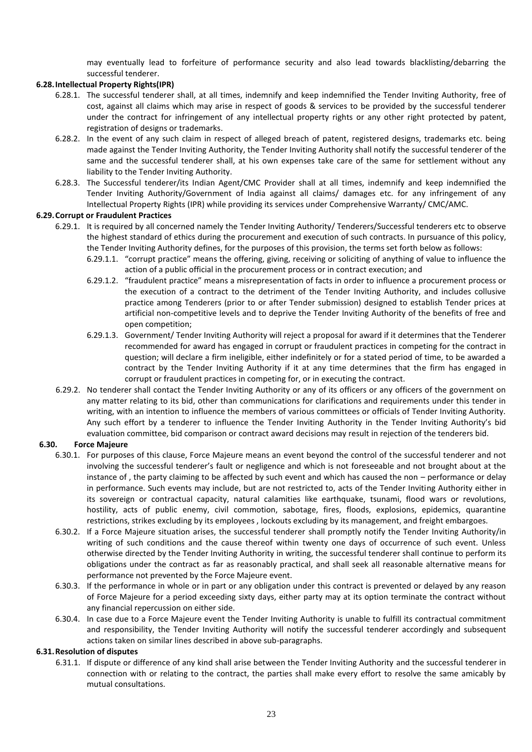may eventually lead to forfeiture of performance security and also lead towards blacklisting/debarring the successful tenderer.

# **6.28.Intellectual Property Rights(IPR)**

- 6.28.1. The successful tenderer shall, at all times, indemnify and keep indemnified the Tender Inviting Authority, free of cost, against all claims which may arise in respect of goods & services to be provided by the successful tenderer under the contract for infringement of any intellectual property rights or any other right protected by patent, registration of designs or trademarks.
- 6.28.2. In the event of any such claim in respect of alleged breach of patent, registered designs, trademarks etc. being made against the Tender Inviting Authority, the Tender Inviting Authority shall notify the successful tenderer of the same and the successful tenderer shall, at his own expenses take care of the same for settlement without any liability to the Tender Inviting Authority.
- 6.28.3. The Successful tenderer/its Indian Agent/CMC Provider shall at all times, indemnify and keep indemnified the Tender Inviting Authority/Government of India against all claims/ damages etc. for any infringement of any Intellectual Property Rights (IPR) while providing its services under Comprehensive Warranty/ CMC/AMC.

### **6.29.Corrupt or Fraudulent Practices**

- 6.29.1. It is required by all concerned namely the Tender Inviting Authority/ Tenderers/Successful tenderers etc to observe the highest standard of ethics during the procurement and execution of such contracts. In pursuance of this policy, the Tender Inviting Authority defines, for the purposes of this provision, the terms set forth below as follows:
	- 6.29.1.1. "corrupt practice" means the offering, giving, receiving or soliciting of anything of value to influence the action of a public official in the procurement process or in contract execution; and
	- 6.29.1.2. "fraudulent practice" means a misrepresentation of facts in order to influence a procurement process or the execution of a contract to the detriment of the Tender Inviting Authority, and includes collusive practice among Tenderers (prior to or after Tender submission) designed to establish Tender prices at artificial non-competitive levels and to deprive the Tender Inviting Authority of the benefits of free and open competition;
	- 6.29.1.3. Government/ Tender Inviting Authority will reject a proposal for award if it determines that the Tenderer recommended for award has engaged in corrupt or fraudulent practices in competing for the contract in question; will declare a firm ineligible, either indefinitely or for a stated period of time, to be awarded a contract by the Tender Inviting Authority if it at any time determines that the firm has engaged in corrupt or fraudulent practices in competing for, or in executing the contract.
- 6.29.2. No tenderer shall contact the Tender Inviting Authority or any of its officers or any officers of the government on any matter relating to its bid, other than communications for clarifications and requirements under this tender in writing, with an intention to influence the members of various committees or officials of Tender Inviting Authority. Any such effort by a tenderer to influence the Tender Inviting Authority in the Tender Inviting Authority's bid evaluation committee, bid comparison or contract award decisions may result in rejection of the tenderers bid.

## **6.30. Force Majeure**

- 6.30.1. For purposes of this clause, Force Majeure means an event beyond the control of the successful tenderer and not involving the successful tenderer's fault or negligence and which is not foreseeable and not brought about at the instance of , the party claiming to be affected by such event and which has caused the non – performance or delay in performance. Such events may include, but are not restricted to, acts of the Tender Inviting Authority either in its sovereign or contractual capacity, natural calamities like earthquake, tsunami, flood wars or revolutions, hostility, acts of public enemy, civil commotion, sabotage, fires, floods, explosions, epidemics, quarantine restrictions, strikes excluding by its employees , lockouts excluding by its management, and freight embargoes.
- 6.30.2. If a Force Majeure situation arises, the successful tenderer shall promptly notify the Tender Inviting Authority/in writing of such conditions and the cause thereof within twenty one days of occurrence of such event. Unless otherwise directed by the Tender Inviting Authority in writing, the successful tenderer shall continue to perform its obligations under the contract as far as reasonably practical, and shall seek all reasonable alternative means for performance not prevented by the Force Majeure event.
- 6.30.3. If the performance in whole or in part or any obligation under this contract is prevented or delayed by any reason of Force Majeure for a period exceeding sixty days, either party may at its option terminate the contract without any financial repercussion on either side.
- 6.30.4. In case due to a Force Majeure event the Tender Inviting Authority is unable to fulfill its contractual commitment and responsibility, the Tender Inviting Authority will notify the successful tenderer accordingly and subsequent actions taken on similar lines described in above sub-paragraphs.

#### **6.31.Resolution of disputes**

6.31.1. If dispute or difference of any kind shall arise between the Tender Inviting Authority and the successful tenderer in connection with or relating to the contract, the parties shall make every effort to resolve the same amicably by mutual consultations.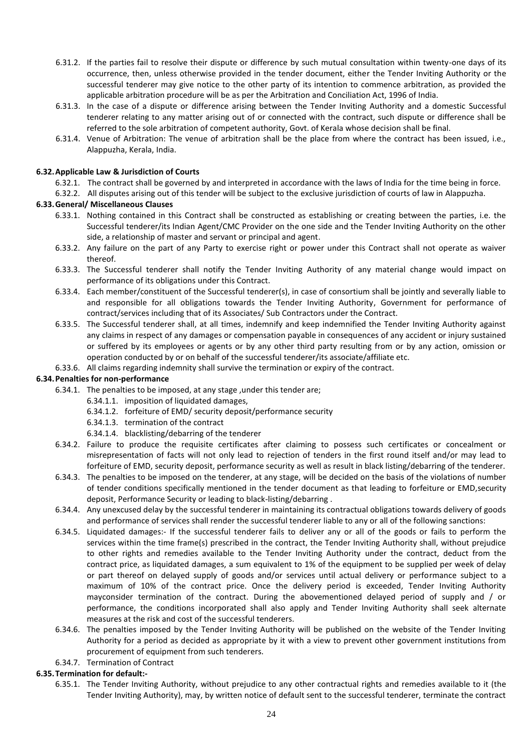- 6.31.2. If the parties fail to resolve their dispute or difference by such mutual consultation within twenty-one days of its occurrence, then, unless otherwise provided in the tender document, either the Tender Inviting Authority or the successful tenderer may give notice to the other party of its intention to commence arbitration, as provided the applicable arbitration procedure will be as per the Arbitration and Conciliation Act, 1996 of India.
- 6.31.3. In the case of a dispute or difference arising between the Tender Inviting Authority and a domestic Successful tenderer relating to any matter arising out of or connected with the contract, such dispute or difference shall be referred to the sole arbitration of competent authority, Govt. of Kerala whose decision shall be final.
- 6.31.4. Venue of Arbitration: The venue of arbitration shall be the place from where the contract has been issued, i.e., Alappuzha, Kerala, India.

### **6.32.Applicable Law & Jurisdiction of Courts**

- 6.32.1. The contract shall be governed by and interpreted in accordance with the laws of India for the time being in force.
- 6.32.2. All disputes arising out of this tender will be subject to the exclusive jurisdiction of courts of law in Alappuzha.

### **6.33.General/ Miscellaneous Clauses**

- 6.33.1. Nothing contained in this Contract shall be constructed as establishing or creating between the parties, i.e. the Successful tenderer/its Indian Agent/CMC Provider on the one side and the Tender Inviting Authority on the other side, a relationship of master and servant or principal and agent.
- 6.33.2. Any failure on the part of any Party to exercise right or power under this Contract shall not operate as waiver thereof.
- 6.33.3. The Successful tenderer shall notify the Tender Inviting Authority of any material change would impact on performance of its obligations under this Contract.
- 6.33.4. Each member/constituent of the Successful tenderer(s), in case of consortium shall be jointly and severally liable to and responsible for all obligations towards the Tender Inviting Authority, Government for performance of contract/services including that of its Associates/ Sub Contractors under the Contract.
- 6.33.5. The Successful tenderer shall, at all times, indemnify and keep indemnified the Tender Inviting Authority against any claims in respect of any damages or compensation payable in consequences of any accident or injury sustained or suffered by its employees or agents or by any other third party resulting from or by any action, omission or operation conducted by or on behalf of the successful tenderer/its associate/affiliate etc.
- 6.33.6. All claims regarding indemnity shall survive the termination or expiry of the contract.

### **6.34.Penalties for non-performance**

- 6.34.1. The penalties to be imposed, at any stage ,under this tender are;
	- 6.34.1.1. imposition of liquidated damages,
	- 6.34.1.2. forfeiture of EMD/ security deposit/performance security
	- 6.34.1.3. termination of the contract
	- 6.34.1.4. blacklisting/debarring of the tenderer
- 6.34.2. Failure to produce the requisite certificates after claiming to possess such certificates or concealment or misrepresentation of facts will not only lead to rejection of tenders in the first round itself and/or may lead to forfeiture of EMD, security deposit, performance security as well as result in black listing/debarring of the tenderer.
- 6.34.3. The penalties to be imposed on the tenderer, at any stage, will be decided on the basis of the violations of number of tender conditions specifically mentioned in the tender document as that leading to forfeiture or EMD,security deposit, Performance Security or leading to black-listing/debarring .
- 6.34.4. Any unexcused delay by the successful tenderer in maintaining its contractual obligations towards delivery of goods and performance of services shall render the successful tenderer liable to any or all of the following sanctions:
- 6.34.5. Liquidated damages:- If the successful tenderer fails to deliver any or all of the goods or fails to perform the services within the time frame(s) prescribed in the contract, the Tender Inviting Authority shall, without prejudice to other rights and remedies available to the Tender Inviting Authority under the contract, deduct from the contract price, as liquidated damages, a sum equivalent to 1% of the equipment to be supplied per week of delay or part thereof on delayed supply of goods and/or services until actual delivery or performance subject to a maximum of 10% of the contract price. Once the delivery period is exceeded, Tender Inviting Authority mayconsider termination of the contract. During the abovementioned delayed period of supply and / or performance, the conditions incorporated shall also apply and Tender Inviting Authority shall seek alternate measures at the risk and cost of the successful tenderers.
- 6.34.6. The penalties imposed by the Tender Inviting Authority will be published on the website of the Tender Inviting Authority for a period as decided as appropriate by it with a view to prevent other government institutions from procurement of equipment from such tenderers.
- 6.34.7. Termination of Contract

#### **6.35.Termination for default:-**

6.35.1. The Tender Inviting Authority, without prejudice to any other contractual rights and remedies available to it (the Tender Inviting Authority), may, by written notice of default sent to the successful tenderer, terminate the contract